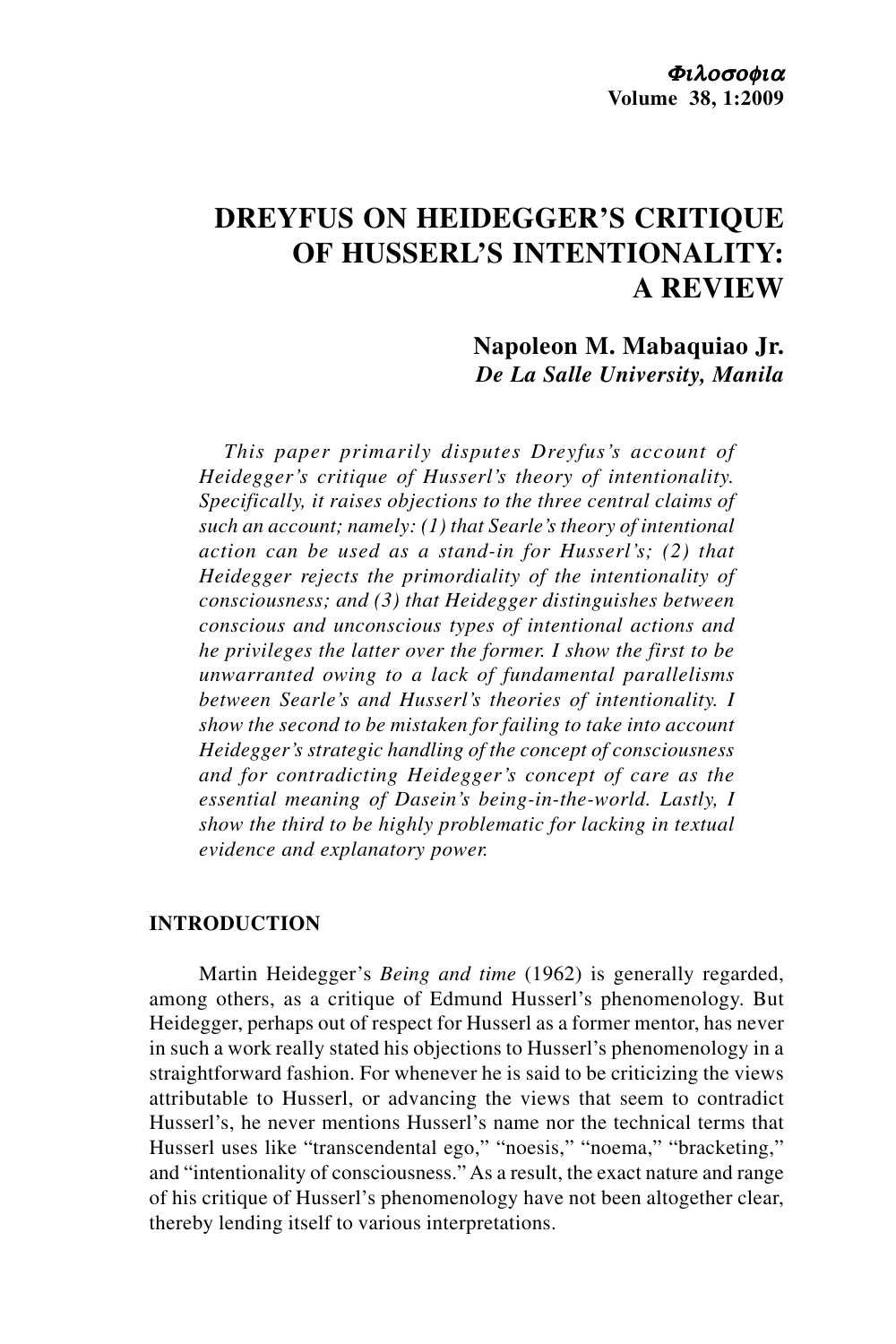# **DREYFUS ON HEIDEGGER'S CRITIQUE OF HUSSERL'S INTENTIONALITY: A REVIEW**

**Napoleon M. Mabaquiao Jr.** *De La Salle University, Manila*

*This paper primarily disputes Dreyfus's account of Heidegger's critique of Husserl's theory of intentionality. Specifically, it raises objections to the three central claims of such an account; namely: (1) that Searle's theory of intentional action can be used as a stand-in for Husserl's; (2) that Heidegger rejects the primordiality of the intentionality of consciousness; and (3) that Heidegger distinguishes between conscious and unconscious types of intentional actions and he privileges the latter over the former. I show the first to be unwarranted owing to a lack of fundamental parallelisms between Searle's and Husserl's theories of intentionality. I show the second to be mistaken for failing to take into account Heidegger's strategic handling of the concept of consciousness and for contradicting Heidegger's concept of care as the essential meaning of Dasein's being-in-the-world. Lastly, I show the third to be highly problematic for lacking in textual evidence and explanatory power.*

## **INTRODUCTION**

Martin Heidegger's *Being and time* (1962) is generally regarded, among others, as a critique of Edmund Husserl's phenomenology. But Heidegger, perhaps out of respect for Husserl as a former mentor, has never in such a work really stated his objections to Husserl's phenomenology in a straightforward fashion. For whenever he is said to be criticizing the views attributable to Husserl, or advancing the views that seem to contradict Husserl's, he never mentions Husserl's name nor the technical terms that Husserl uses like "transcendental ego," "noesis," "noema," "bracketing," and "intentionality of consciousness." As a result, the exact nature and range of his critique of Husserl's phenomenology have not been altogether clear, thereby lending itself to various interpretations.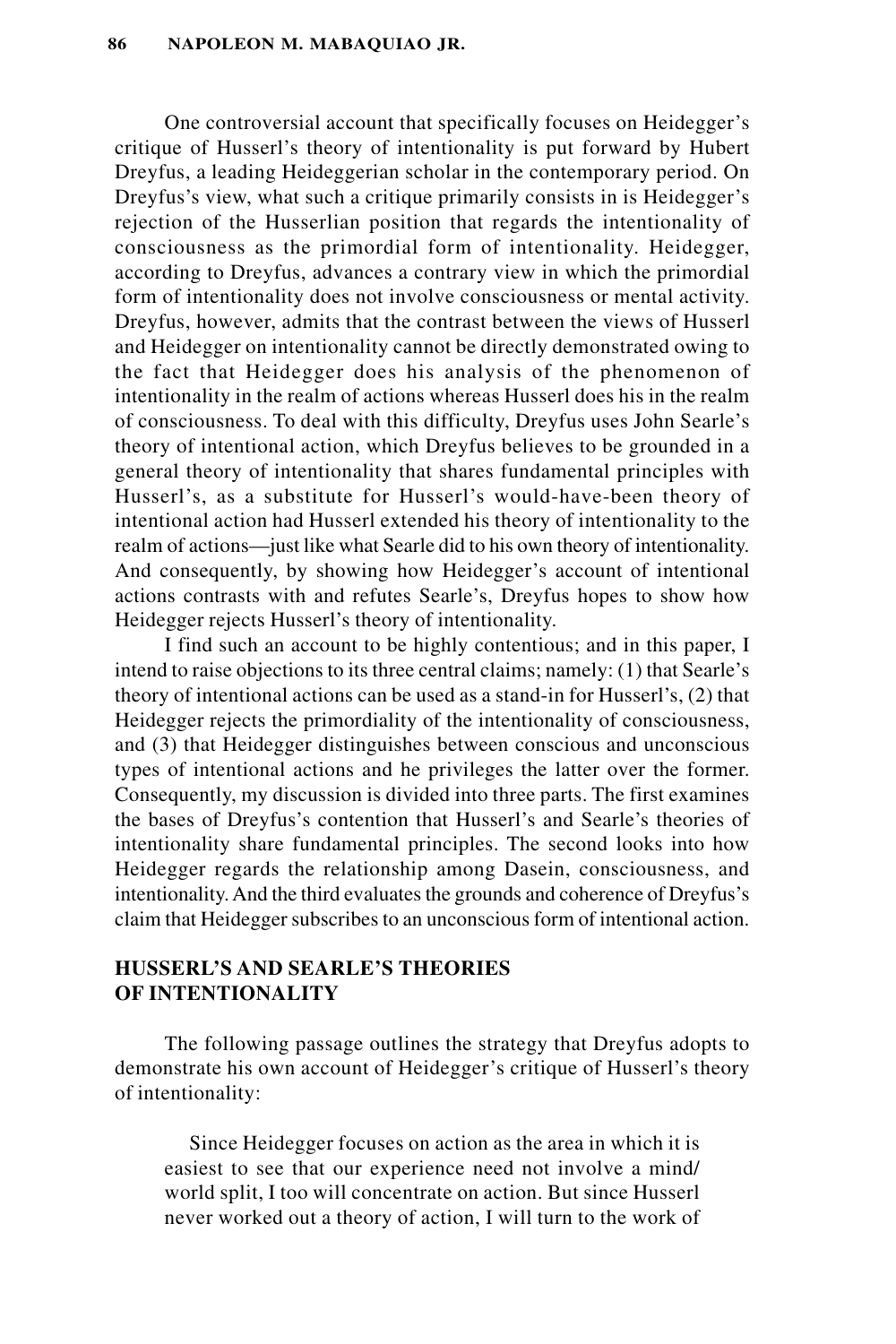One controversial account that specifically focuses on Heidegger's critique of Husserl's theory of intentionality is put forward by Hubert Dreyfus, a leading Heideggerian scholar in the contemporary period. On Dreyfus's view, what such a critique primarily consists in is Heidegger's rejection of the Husserlian position that regards the intentionality of consciousness as the primordial form of intentionality. Heidegger, according to Dreyfus, advances a contrary view in which the primordial form of intentionality does not involve consciousness or mental activity. Dreyfus, however, admits that the contrast between the views of Husserl and Heidegger on intentionality cannot be directly demonstrated owing to the fact that Heidegger does his analysis of the phenomenon of intentionality in the realm of actions whereas Husserl does his in the realm of consciousness. To deal with this difficulty, Dreyfus uses John Searle's theory of intentional action, which Dreyfus believes to be grounded in a general theory of intentionality that shares fundamental principles with Husserl's, as a substitute for Husserl's would-have-been theory of intentional action had Husserl extended his theory of intentionality to the realm of actions—just like what Searle did to his own theory of intentionality. And consequently, by showing how Heidegger's account of intentional actions contrasts with and refutes Searle's, Dreyfus hopes to show how Heidegger rejects Husserl's theory of intentionality.

I find such an account to be highly contentious; and in this paper, I intend to raise objections to its three central claims; namely: (1) that Searle's theory of intentional actions can be used as a stand-in for Husserl's, (2) that Heidegger rejects the primordiality of the intentionality of consciousness, and (3) that Heidegger distinguishes between conscious and unconscious types of intentional actions and he privileges the latter over the former. Consequently, my discussion is divided into three parts. The first examines the bases of Dreyfus's contention that Husserl's and Searle's theories of intentionality share fundamental principles. The second looks into how Heidegger regards the relationship among Dasein, consciousness, and intentionality. And the third evaluates the grounds and coherence of Dreyfus's claim that Heidegger subscribes to an unconscious form of intentional action.

# **HUSSERL'S AND SEARLE'S THEORIES OF INTENTIONALITY**

The following passage outlines the strategy that Dreyfus adopts to demonstrate his own account of Heidegger's critique of Husserl's theory of intentionality:

Since Heidegger focuses on action as the area in which it is easiest to see that our experience need not involve a mind/ world split, I too will concentrate on action. But since Husserl never worked out a theory of action, I will turn to the work of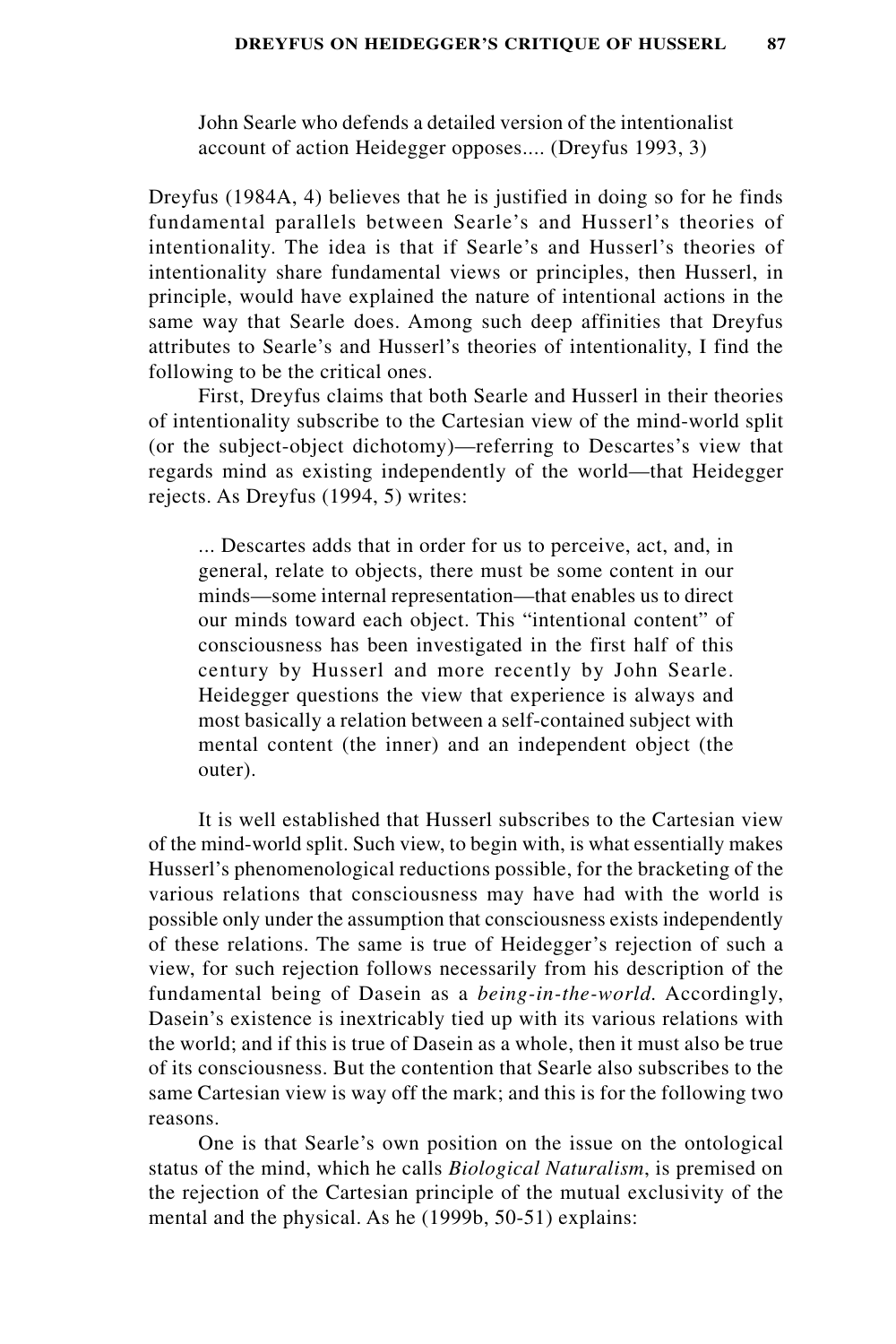John Searle who defends a detailed version of the intentionalist account of action Heidegger opposes.... (Dreyfus 1993, 3)

Dreyfus (1984A, 4) believes that he is justified in doing so for he finds fundamental parallels between Searle's and Husserl's theories of intentionality. The idea is that if Searle's and Husserl's theories of intentionality share fundamental views or principles, then Husserl, in principle, would have explained the nature of intentional actions in the same way that Searle does. Among such deep affinities that Dreyfus attributes to Searle's and Husserl's theories of intentionality, I find the following to be the critical ones.

First, Dreyfus claims that both Searle and Husserl in their theories of intentionality subscribe to the Cartesian view of the mind-world split (or the subject-object dichotomy)—referring to Descartes's view that regards mind as existing independently of the world—that Heidegger rejects. As Dreyfus (1994, 5) writes:

... Descartes adds that in order for us to perceive, act, and, in general, relate to objects, there must be some content in our minds—some internal representation—that enables us to direct our minds toward each object. This "intentional content" of consciousness has been investigated in the first half of this century by Husserl and more recently by John Searle. Heidegger questions the view that experience is always and most basically a relation between a self-contained subject with mental content (the inner) and an independent object (the outer).

It is well established that Husserl subscribes to the Cartesian view of the mind-world split. Such view, to begin with, is what essentially makes Husserl's phenomenological reductions possible, for the bracketing of the various relations that consciousness may have had with the world is possible only under the assumption that consciousness exists independently of these relations. The same is true of Heidegger's rejection of such a view, for such rejection follows necessarily from his description of the fundamental being of Dasein as a *being-in-the-world.* Accordingly, Dasein's existence is inextricably tied up with its various relations with the world; and if this is true of Dasein as a whole, then it must also be true of its consciousness. But the contention that Searle also subscribes to the same Cartesian view is way off the mark; and this is for the following two reasons.

One is that Searle's own position on the issue on the ontological status of the mind, which he calls *Biological Naturalism*, is premised on the rejection of the Cartesian principle of the mutual exclusivity of the mental and the physical. As he (1999b, 50-51) explains: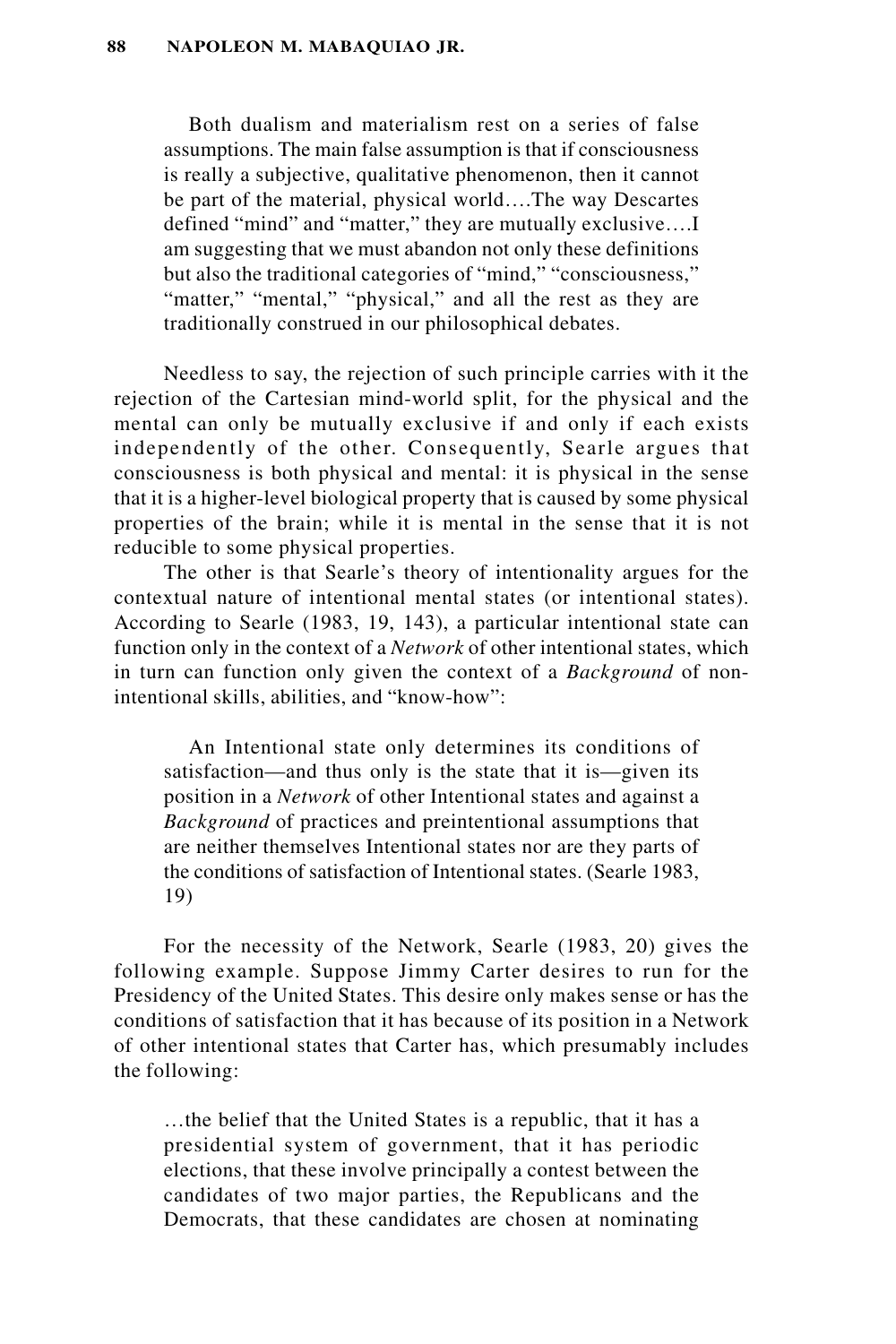Both dualism and materialism rest on a series of false assumptions. The main false assumption is that if consciousness is really a subjective, qualitative phenomenon, then it cannot be part of the material, physical world….The way Descartes defined "mind" and "matter," they are mutually exclusive….I am suggesting that we must abandon not only these definitions but also the traditional categories of "mind," "consciousness," "matter," "mental," "physical," and all the rest as they are traditionally construed in our philosophical debates.

Needless to say, the rejection of such principle carries with it the rejection of the Cartesian mind-world split, for the physical and the mental can only be mutually exclusive if and only if each exists independently of the other. Consequently, Searle argues that consciousness is both physical and mental: it is physical in the sense that it is a higher-level biological property that is caused by some physical properties of the brain; while it is mental in the sense that it is not reducible to some physical properties.

The other is that Searle's theory of intentionality argues for the contextual nature of intentional mental states (or intentional states). According to Searle (1983, 19, 143), a particular intentional state can function only in the context of a *Network* of other intentional states, which in turn can function only given the context of a *Background* of nonintentional skills, abilities, and "know-how":

An Intentional state only determines its conditions of satisfaction—and thus only is the state that it is—given its position in a *Network* of other Intentional states and against a *Background* of practices and preintentional assumptions that are neither themselves Intentional states nor are they parts of the conditions of satisfaction of Intentional states. (Searle 1983, 19)

For the necessity of the Network, Searle (1983, 20) gives the following example. Suppose Jimmy Carter desires to run for the Presidency of the United States. This desire only makes sense or has the conditions of satisfaction that it has because of its position in a Network of other intentional states that Carter has, which presumably includes the following:

…the belief that the United States is a republic, that it has a presidential system of government, that it has periodic elections, that these involve principally a contest between the candidates of two major parties, the Republicans and the Democrats, that these candidates are chosen at nominating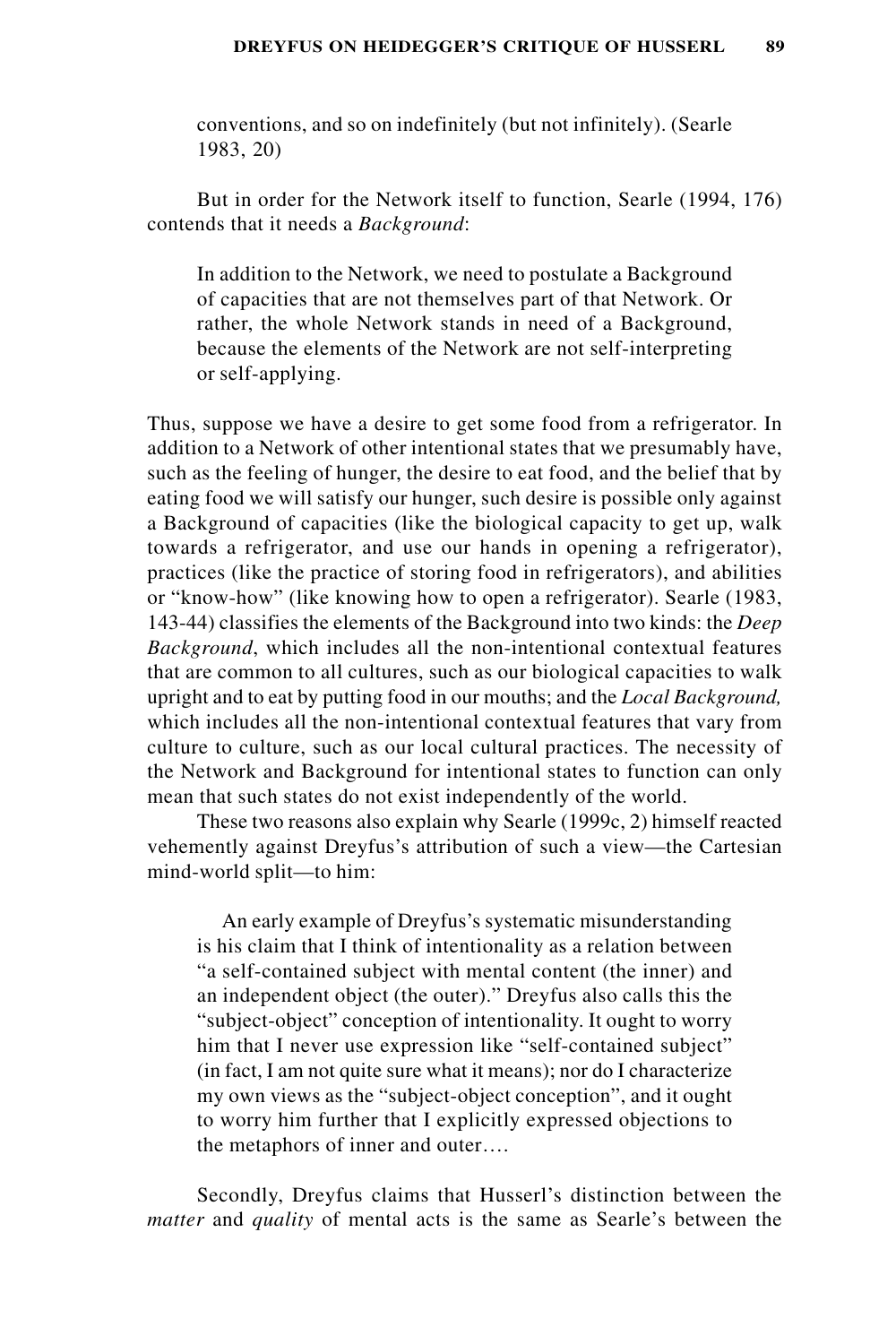conventions, and so on indefinitely (but not infinitely). (Searle 1983, 20)

But in order for the Network itself to function, Searle (1994, 176) contends that it needs a *Background*:

In addition to the Network, we need to postulate a Background of capacities that are not themselves part of that Network. Or rather, the whole Network stands in need of a Background, because the elements of the Network are not self-interpreting or self-applying.

Thus, suppose we have a desire to get some food from a refrigerator. In addition to a Network of other intentional states that we presumably have, such as the feeling of hunger, the desire to eat food, and the belief that by eating food we will satisfy our hunger, such desire is possible only against a Background of capacities (like the biological capacity to get up, walk towards a refrigerator, and use our hands in opening a refrigerator), practices (like the practice of storing food in refrigerators), and abilities or "know-how" (like knowing how to open a refrigerator). Searle (1983, 143-44) classifies the elements of the Background into two kinds: the *Deep Background*, which includes all the non-intentional contextual features that are common to all cultures, such as our biological capacities to walk upright and to eat by putting food in our mouths; and the *Local Background,* which includes all the non-intentional contextual features that vary from culture to culture, such as our local cultural practices. The necessity of the Network and Background for intentional states to function can only mean that such states do not exist independently of the world.

These two reasons also explain why Searle (1999c, 2) himself reacted vehemently against Dreyfus's attribution of such a view—the Cartesian mind-world split—to him:

An early example of Dreyfus's systematic misunderstanding is his claim that I think of intentionality as a relation between "a self-contained subject with mental content (the inner) and an independent object (the outer)." Dreyfus also calls this the "subject-object" conception of intentionality. It ought to worry him that I never use expression like "self-contained subject" (in fact, I am not quite sure what it means); nor do I characterize my own views as the "subject-object conception", and it ought to worry him further that I explicitly expressed objections to the metaphors of inner and outer….

Secondly, Dreyfus claims that Husserl's distinction between the *matter* and *quality* of mental acts is the same as Searle's between the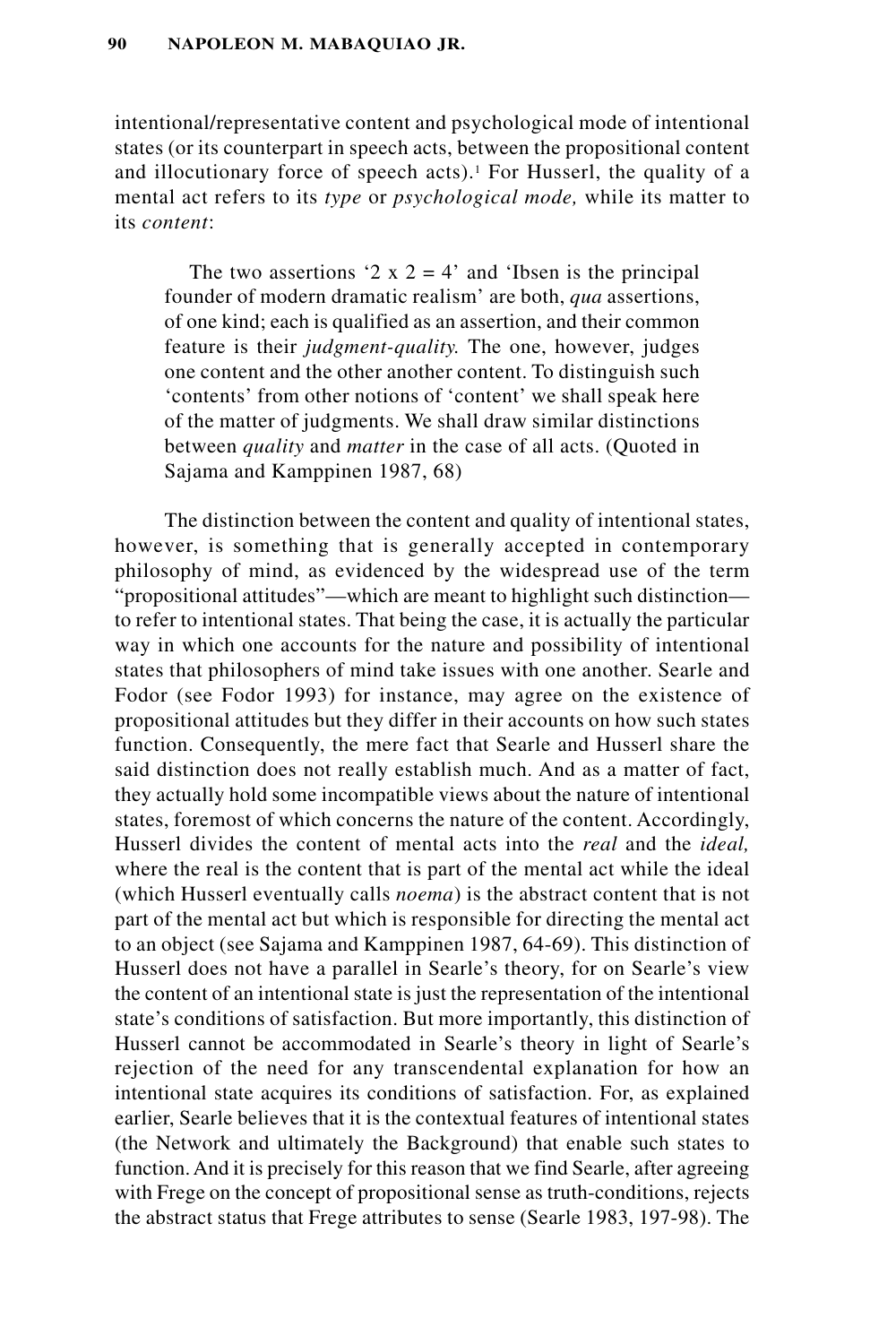intentional/representative content and psychological mode of intentional states (or its counterpart in speech acts, between the propositional content and illocutionary force of speech acts).<sup>1</sup> For Husserl, the quality of a mental act refers to its *type* or *psychological mode,* while its matter to its *content*:

The two assertions '2  $x$  2 = 4' and 'Ibsen is the principal founder of modern dramatic realism' are both, *qua* assertions, of one kind; each is qualified as an assertion, and their common feature is their *judgment-quality.* The one, however, judges one content and the other another content. To distinguish such 'contents' from other notions of 'content' we shall speak here of the matter of judgments. We shall draw similar distinctions between *quality* and *matter* in the case of all acts. (Quoted in Sajama and Kamppinen 1987, 68)

The distinction between the content and quality of intentional states, however, is something that is generally accepted in contemporary philosophy of mind, as evidenced by the widespread use of the term "propositional attitudes"—which are meant to highlight such distinction to refer to intentional states. That being the case, it is actually the particular way in which one accounts for the nature and possibility of intentional states that philosophers of mind take issues with one another. Searle and Fodor (see Fodor 1993) for instance, may agree on the existence of propositional attitudes but they differ in their accounts on how such states function. Consequently, the mere fact that Searle and Husserl share the said distinction does not really establish much. And as a matter of fact, they actually hold some incompatible views about the nature of intentional states, foremost of which concerns the nature of the content. Accordingly, Husserl divides the content of mental acts into the *real* and the *ideal,* where the real is the content that is part of the mental act while the ideal (which Husserl eventually calls *noema*) is the abstract content that is not part of the mental act but which is responsible for directing the mental act to an object (see Sajama and Kamppinen 1987, 64-69). This distinction of Husserl does not have a parallel in Searle's theory, for on Searle's view the content of an intentional state is just the representation of the intentional state's conditions of satisfaction. But more importantly, this distinction of Husserl cannot be accommodated in Searle's theory in light of Searle's rejection of the need for any transcendental explanation for how an intentional state acquires its conditions of satisfaction. For, as explained earlier, Searle believes that it is the contextual features of intentional states (the Network and ultimately the Background) that enable such states to function. And it is precisely for this reason that we find Searle, after agreeing with Frege on the concept of propositional sense as truth-conditions, rejects the abstract status that Frege attributes to sense (Searle 1983, 197-98). The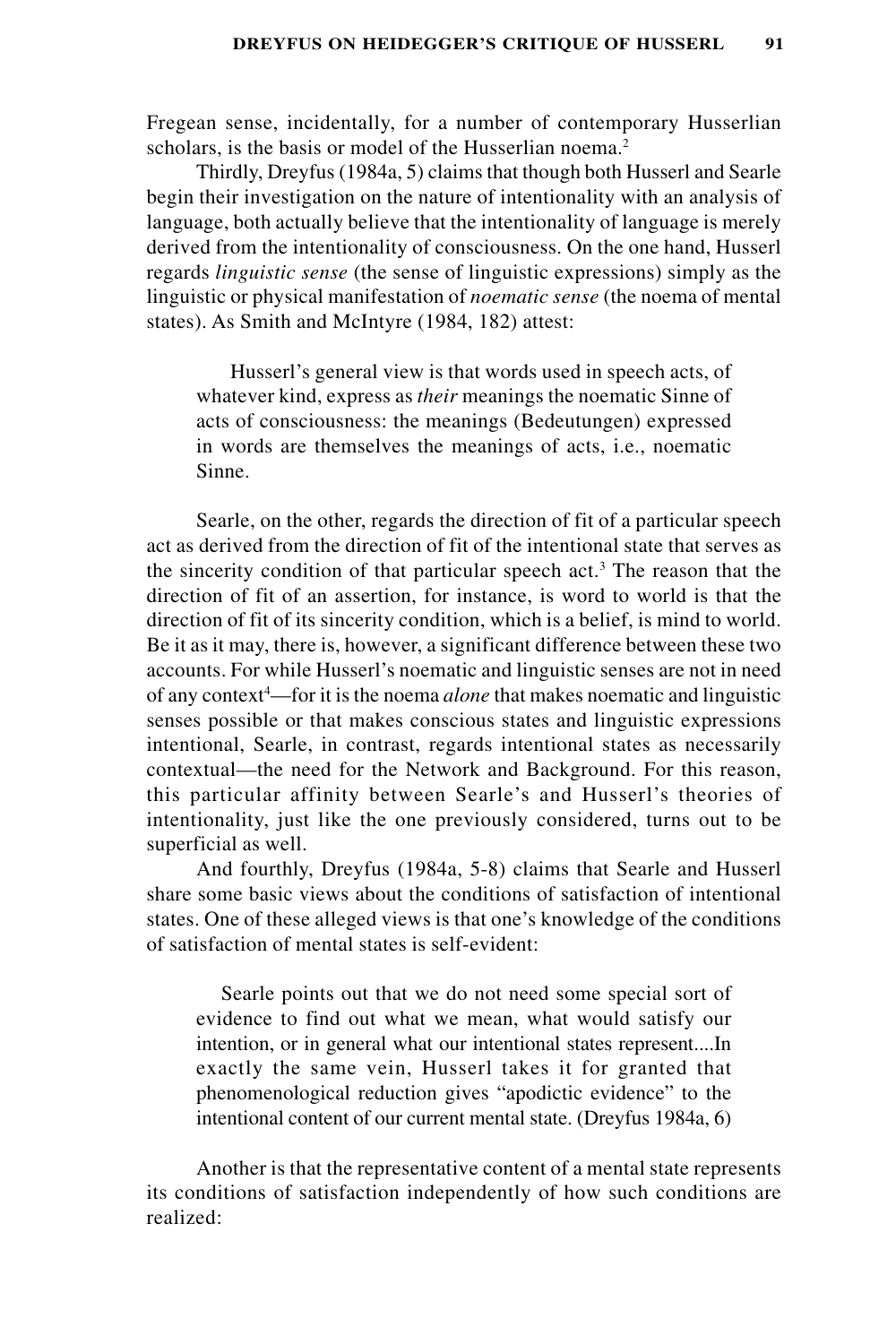Fregean sense, incidentally, for a number of contemporary Husserlian scholars, is the basis or model of the Husserlian noema.<sup>2</sup>

Thirdly, Dreyfus (1984a, 5) claims that though both Husserl and Searle begin their investigation on the nature of intentionality with an analysis of language, both actually believe that the intentionality of language is merely derived from the intentionality of consciousness. On the one hand, Husserl regards *linguistic sense* (the sense of linguistic expressions) simply as the linguistic or physical manifestation of *noematic sense* (the noema of mental states). As Smith and McIntyre (1984, 182) attest:

 Husserl's general view is that words used in speech acts, of whatever kind, express as *their* meanings the noematic Sinne of acts of consciousness: the meanings (Bedeutungen) expressed in words are themselves the meanings of acts, i.e., noematic Sinne.

Searle, on the other, regards the direction of fit of a particular speech act as derived from the direction of fit of the intentional state that serves as the sincerity condition of that particular speech act.<sup>3</sup> The reason that the direction of fit of an assertion, for instance, is word to world is that the direction of fit of its sincerity condition, which is a belief, is mind to world. Be it as it may, there is, however, a significant difference between these two accounts. For while Husserl's noematic and linguistic senses are not in need of any context<sup>4</sup>—for it is the noema *alone* that makes noematic and linguistic senses possible or that makes conscious states and linguistic expressions intentional, Searle, in contrast, regards intentional states as necessarily contextual—the need for the Network and Background. For this reason, this particular affinity between Searle's and Husserl's theories of intentionality, just like the one previously considered, turns out to be superficial as well.

And fourthly, Dreyfus (1984a, 5-8) claims that Searle and Husserl share some basic views about the conditions of satisfaction of intentional states. One of these alleged views is that one's knowledge of the conditions of satisfaction of mental states is self-evident:

Searle points out that we do not need some special sort of evidence to find out what we mean, what would satisfy our intention, or in general what our intentional states represent....In exactly the same vein, Husserl takes it for granted that phenomenological reduction gives "apodictic evidence" to the intentional content of our current mental state. (Dreyfus 1984a, 6)

Another is that the representative content of a mental state represents its conditions of satisfaction independently of how such conditions are realized: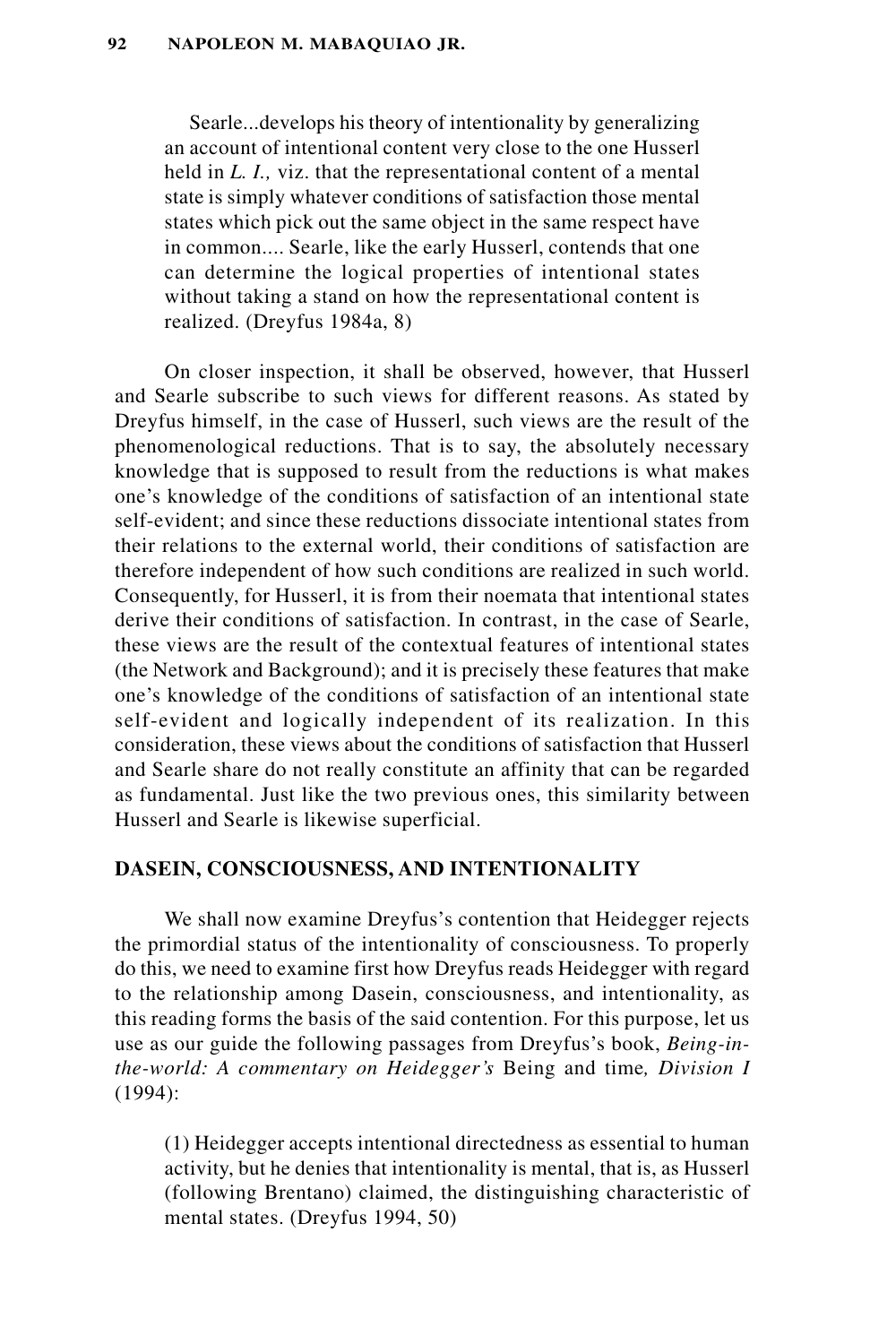Searle...develops his theory of intentionality by generalizing an account of intentional content very close to the one Husserl held in *L. I.,* viz. that the representational content of a mental state is simply whatever conditions of satisfaction those mental states which pick out the same object in the same respect have in common.... Searle, like the early Husserl, contends that one can determine the logical properties of intentional states without taking a stand on how the representational content is realized. (Dreyfus 1984a, 8)

On closer inspection, it shall be observed, however, that Husserl and Searle subscribe to such views for different reasons. As stated by Dreyfus himself, in the case of Husserl, such views are the result of the phenomenological reductions. That is to say, the absolutely necessary knowledge that is supposed to result from the reductions is what makes one's knowledge of the conditions of satisfaction of an intentional state self-evident; and since these reductions dissociate intentional states from their relations to the external world, their conditions of satisfaction are therefore independent of how such conditions are realized in such world. Consequently, for Husserl, it is from their noemata that intentional states derive their conditions of satisfaction. In contrast, in the case of Searle, these views are the result of the contextual features of intentional states (the Network and Background); and it is precisely these features that make one's knowledge of the conditions of satisfaction of an intentional state self-evident and logically independent of its realization. In this consideration, these views about the conditions of satisfaction that Husserl and Searle share do not really constitute an affinity that can be regarded as fundamental. Just like the two previous ones, this similarity between Husserl and Searle is likewise superficial.

### **DASEIN, CONSCIOUSNESS, AND INTENTIONALITY**

We shall now examine Dreyfus's contention that Heidegger rejects the primordial status of the intentionality of consciousness. To properly do this, we need to examine first how Dreyfus reads Heidegger with regard to the relationship among Dasein, consciousness, and intentionality, as this reading forms the basis of the said contention. For this purpose, let us use as our guide the following passages from Dreyfus's book, *Being-inthe-world: A commentary on Heidegger's* Being and time*, Division I* (1994):

(1) Heidegger accepts intentional directedness as essential to human activity, but he denies that intentionality is mental, that is, as Husserl (following Brentano) claimed, the distinguishing characteristic of mental states. (Dreyfus 1994, 50)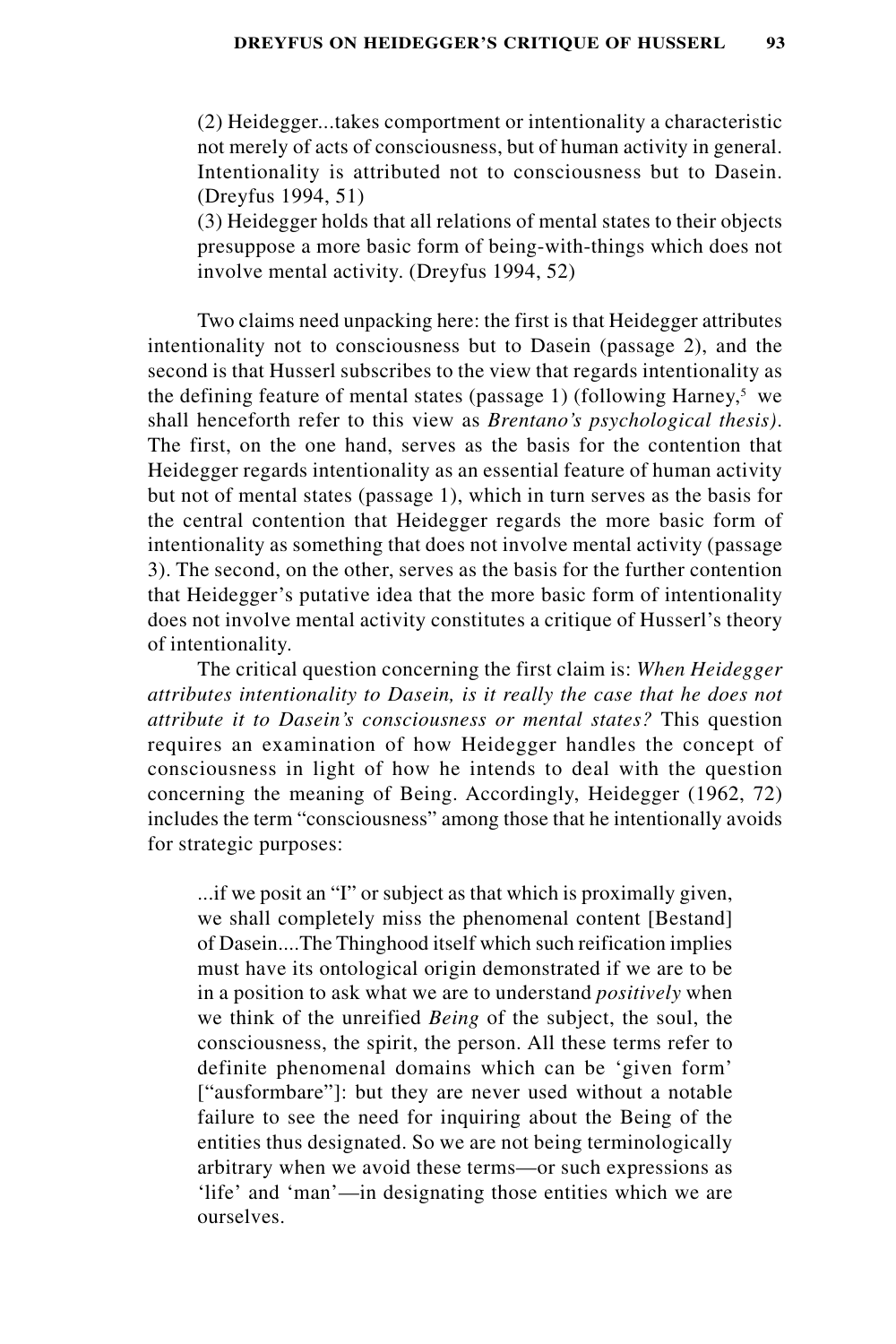(2) Heidegger...takes comportment or intentionality a characteristic not merely of acts of consciousness, but of human activity in general. Intentionality is attributed not to consciousness but to Dasein. (Dreyfus 1994, 51)

(3) Heidegger holds that all relations of mental states to their objects presuppose a more basic form of being-with-things which does not involve mental activity. (Dreyfus 1994, 52)

Two claims need unpacking here: the first is that Heidegger attributes intentionality not to consciousness but to Dasein (passage 2), and the second is that Husserl subscribes to the view that regards intentionality as the defining feature of mental states (passage 1) (following Harney,<sup>5</sup> we shall henceforth refer to this view as *Brentano's psychological thesis)*. The first, on the one hand, serves as the basis for the contention that Heidegger regards intentionality as an essential feature of human activity but not of mental states (passage 1), which in turn serves as the basis for the central contention that Heidegger regards the more basic form of intentionality as something that does not involve mental activity (passage 3). The second, on the other, serves as the basis for the further contention that Heidegger's putative idea that the more basic form of intentionality does not involve mental activity constitutes a critique of Husserl's theory of intentionality.

The critical question concerning the first claim is: *When Heidegger attributes intentionality to Dasein, is it really the case that he does not attribute it to Dasein's consciousness or mental states?* This question requires an examination of how Heidegger handles the concept of consciousness in light of how he intends to deal with the question concerning the meaning of Being. Accordingly, Heidegger (1962, 72) includes the term "consciousness" among those that he intentionally avoids for strategic purposes:

...if we posit an "I" or subject as that which is proximally given, we shall completely miss the phenomenal content [Bestand] of Dasein....The Thinghood itself which such reification implies must have its ontological origin demonstrated if we are to be in a position to ask what we are to understand *positively* when we think of the unreified *Being* of the subject, the soul, the consciousness, the spirit, the person. All these terms refer to definite phenomenal domains which can be 'given form' ["ausformbare"]: but they are never used without a notable failure to see the need for inquiring about the Being of the entities thus designated. So we are not being terminologically arbitrary when we avoid these terms—or such expressions as 'life' and 'man'—in designating those entities which we are ourselves.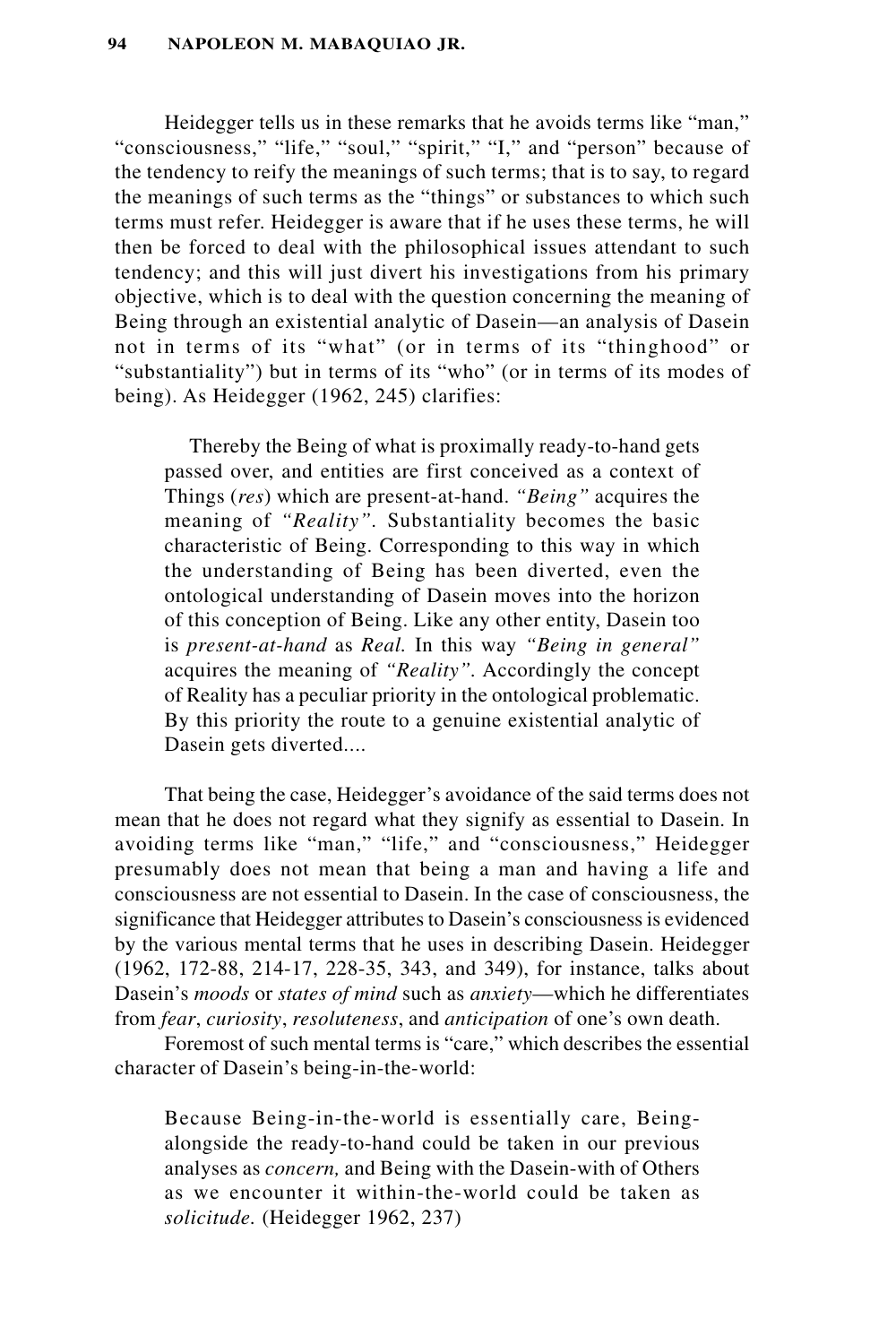Heidegger tells us in these remarks that he avoids terms like "man," "consciousness," "life," "soul," "spirit," "I," and "person" because of the tendency to reify the meanings of such terms; that is to say, to regard the meanings of such terms as the "things" or substances to which such terms must refer. Heidegger is aware that if he uses these terms, he will then be forced to deal with the philosophical issues attendant to such tendency; and this will just divert his investigations from his primary objective, which is to deal with the question concerning the meaning of Being through an existential analytic of Dasein—an analysis of Dasein not in terms of its "what" (or in terms of its "thinghood" or "substantiality") but in terms of its "who" (or in terms of its modes of being). As Heidegger (1962, 245) clarifies:

Thereby the Being of what is proximally ready-to-hand gets passed over, and entities are first conceived as a context of Things (*res*) which are present-at-hand. *"Being"* acquires the meaning of *"Reality".* Substantiality becomes the basic characteristic of Being. Corresponding to this way in which the understanding of Being has been diverted, even the ontological understanding of Dasein moves into the horizon of this conception of Being. Like any other entity, Dasein too is *present-at-hand* as *Real.* In this way *"Being in general"* acquires the meaning of *"Reality".* Accordingly the concept of Reality has a peculiar priority in the ontological problematic. By this priority the route to a genuine existential analytic of Dasein gets diverted....

That being the case, Heidegger's avoidance of the said terms does not mean that he does not regard what they signify as essential to Dasein. In avoiding terms like "man," "life," and "consciousness," Heidegger presumably does not mean that being a man and having a life and consciousness are not essential to Dasein. In the case of consciousness, the significance that Heidegger attributes to Dasein's consciousness is evidenced by the various mental terms that he uses in describing Dasein. Heidegger (1962, 172-88, 214-17, 228-35, 343, and 349), for instance, talks about Dasein's *moods* or *states of mind* such as *anxiety*—which he differentiates from *fear*, *curiosity*, *resoluteness*, and *anticipation* of one's own death.

Foremost of such mental terms is "care," which describes the essential character of Dasein's being-in-the-world:

Because Being-in-the-world is essentially care, Beingalongside the ready-to-hand could be taken in our previous analyses as *concern,* and Being with the Dasein-with of Others as we encounter it within-the-world could be taken as *solicitude.* (Heidegger 1962, 237)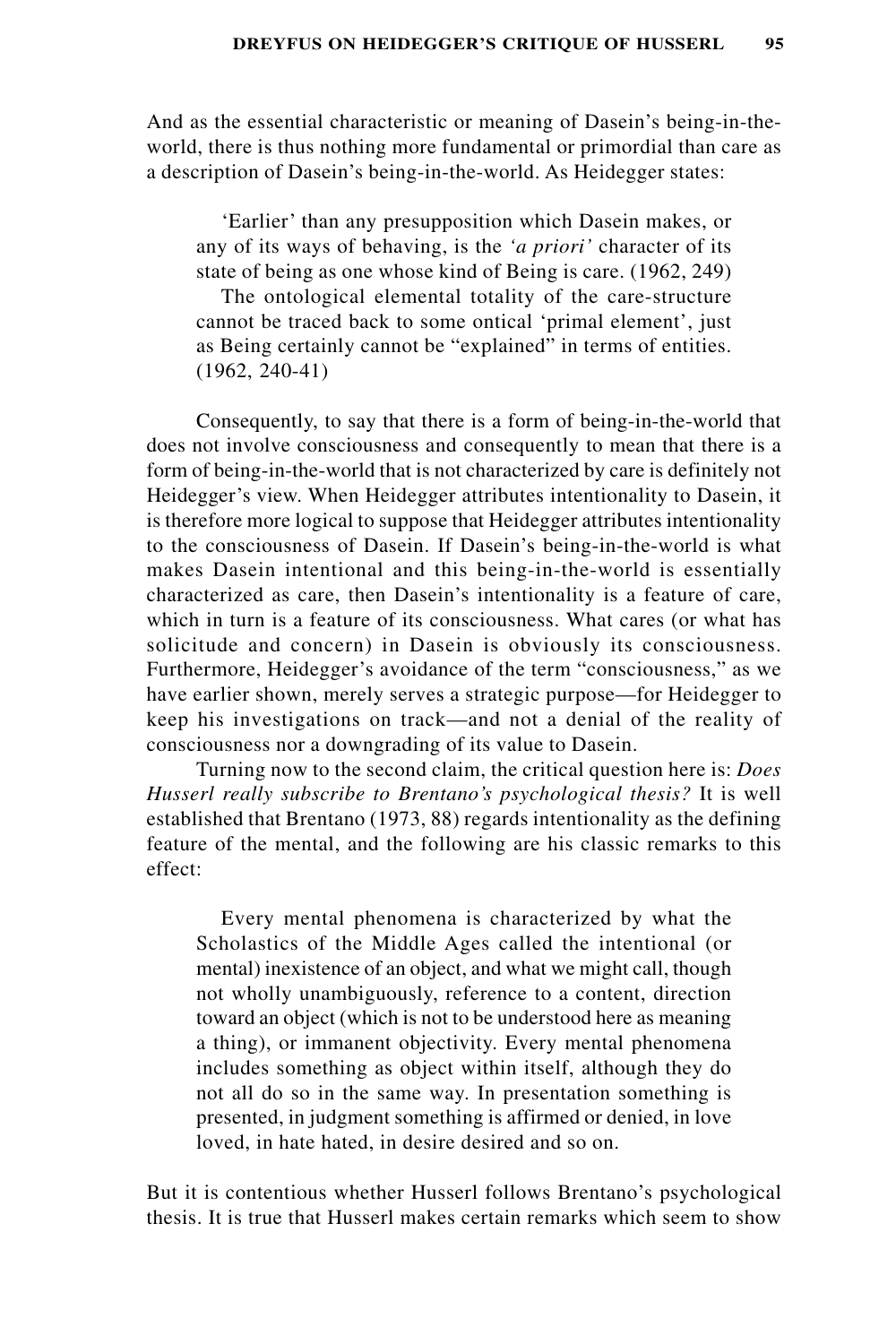And as the essential characteristic or meaning of Dasein's being-in-theworld, there is thus nothing more fundamental or primordial than care as a description of Dasein's being-in-the-world. As Heidegger states:

'Earlier' than any presupposition which Dasein makes, or any of its ways of behaving, is the *'a priori'* character of its state of being as one whose kind of Being is care. (1962, 249)

The ontological elemental totality of the care-structure cannot be traced back to some ontical 'primal element', just as Being certainly cannot be "explained" in terms of entities. (1962, 240-41)

Consequently, to say that there is a form of being-in-the-world that does not involve consciousness and consequently to mean that there is a form of being-in-the-world that is not characterized by care is definitely not Heidegger's view. When Heidegger attributes intentionality to Dasein, it is therefore more logical to suppose that Heidegger attributes intentionality to the consciousness of Dasein. If Dasein's being-in-the-world is what makes Dasein intentional and this being-in-the-world is essentially characterized as care, then Dasein's intentionality is a feature of care, which in turn is a feature of its consciousness. What cares (or what has solicitude and concern) in Dasein is obviously its consciousness. Furthermore, Heidegger's avoidance of the term "consciousness," as we have earlier shown, merely serves a strategic purpose—for Heidegger to keep his investigations on track—and not a denial of the reality of consciousness nor a downgrading of its value to Dasein.

Turning now to the second claim, the critical question here is: *Does Husserl really subscribe to Brentano's psychological thesis?* It is well established that Brentano (1973, 88) regards intentionality as the defining feature of the mental, and the following are his classic remarks to this effect:

Every mental phenomena is characterized by what the Scholastics of the Middle Ages called the intentional (or mental) inexistence of an object, and what we might call, though not wholly unambiguously, reference to a content, direction toward an object (which is not to be understood here as meaning a thing), or immanent objectivity. Every mental phenomena includes something as object within itself, although they do not all do so in the same way. In presentation something is presented, in judgment something is affirmed or denied, in love loved, in hate hated, in desire desired and so on.

But it is contentious whether Husserl follows Brentano's psychological thesis. It is true that Husserl makes certain remarks which seem to show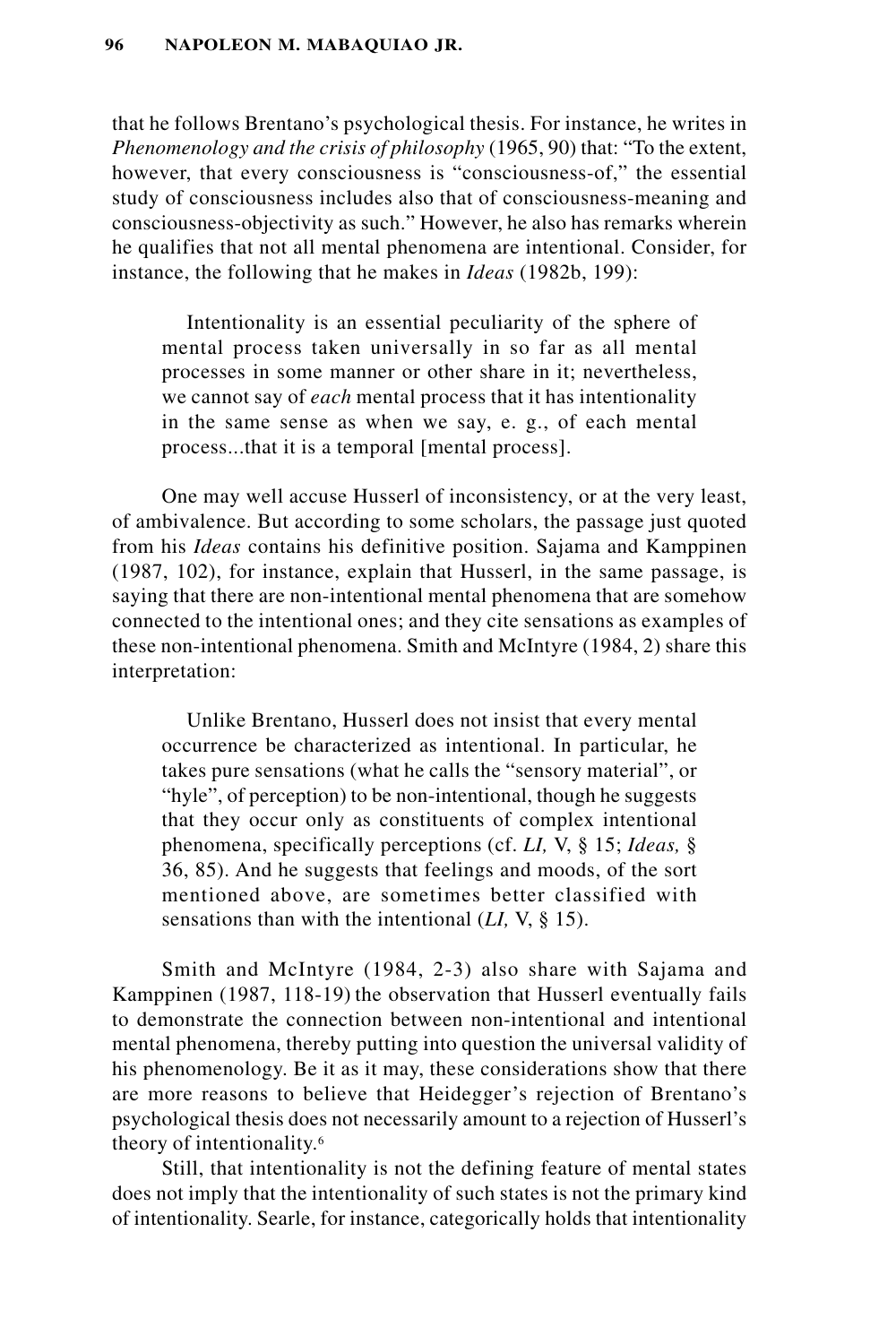that he follows Brentano's psychological thesis. For instance, he writes in *Phenomenology and the crisis of philosophy* (1965, 90) that: "To the extent, however, that every consciousness is "consciousness-of," the essential study of consciousness includes also that of consciousness-meaning and consciousness-objectivity as such." However, he also has remarks wherein he qualifies that not all mental phenomena are intentional. Consider, for instance, the following that he makes in *Ideas* (1982b, 199):

Intentionality is an essential peculiarity of the sphere of mental process taken universally in so far as all mental processes in some manner or other share in it; nevertheless, we cannot say of *each* mental process that it has intentionality in the same sense as when we say, e. g., of each mental process...that it is a temporal [mental process].

One may well accuse Husserl of inconsistency, or at the very least, of ambivalence. But according to some scholars, the passage just quoted from his *Ideas* contains his definitive position. Sajama and Kamppinen (1987, 102), for instance, explain that Husserl, in the same passage, is saying that there are non-intentional mental phenomena that are somehow connected to the intentional ones; and they cite sensations as examples of these non-intentional phenomena. Smith and McIntyre (1984, 2) share this interpretation:

Unlike Brentano, Husserl does not insist that every mental occurrence be characterized as intentional. In particular, he takes pure sensations (what he calls the "sensory material", or "hyle", of perception) to be non-intentional, though he suggests that they occur only as constituents of complex intentional phenomena, specifically perceptions (cf. *LI,* V, § 15; *Ideas,* § 36, 85). And he suggests that feelings and moods, of the sort mentioned above, are sometimes better classified with sensations than with the intentional (*LI,* V, § 15).

Smith and McIntyre (1984, 2-3) also share with Sajama and Kamppinen (1987, 118-19) the observation that Husserl eventually fails to demonstrate the connection between non-intentional and intentional mental phenomena, thereby putting into question the universal validity of his phenomenology. Be it as it may, these considerations show that there are more reasons to believe that Heidegger's rejection of Brentano's psychological thesis does not necessarily amount to a rejection of Husserl's theory of intentionality.6

Still, that intentionality is not the defining feature of mental states does not imply that the intentionality of such states is not the primary kind of intentionality. Searle, for instance, categorically holds that intentionality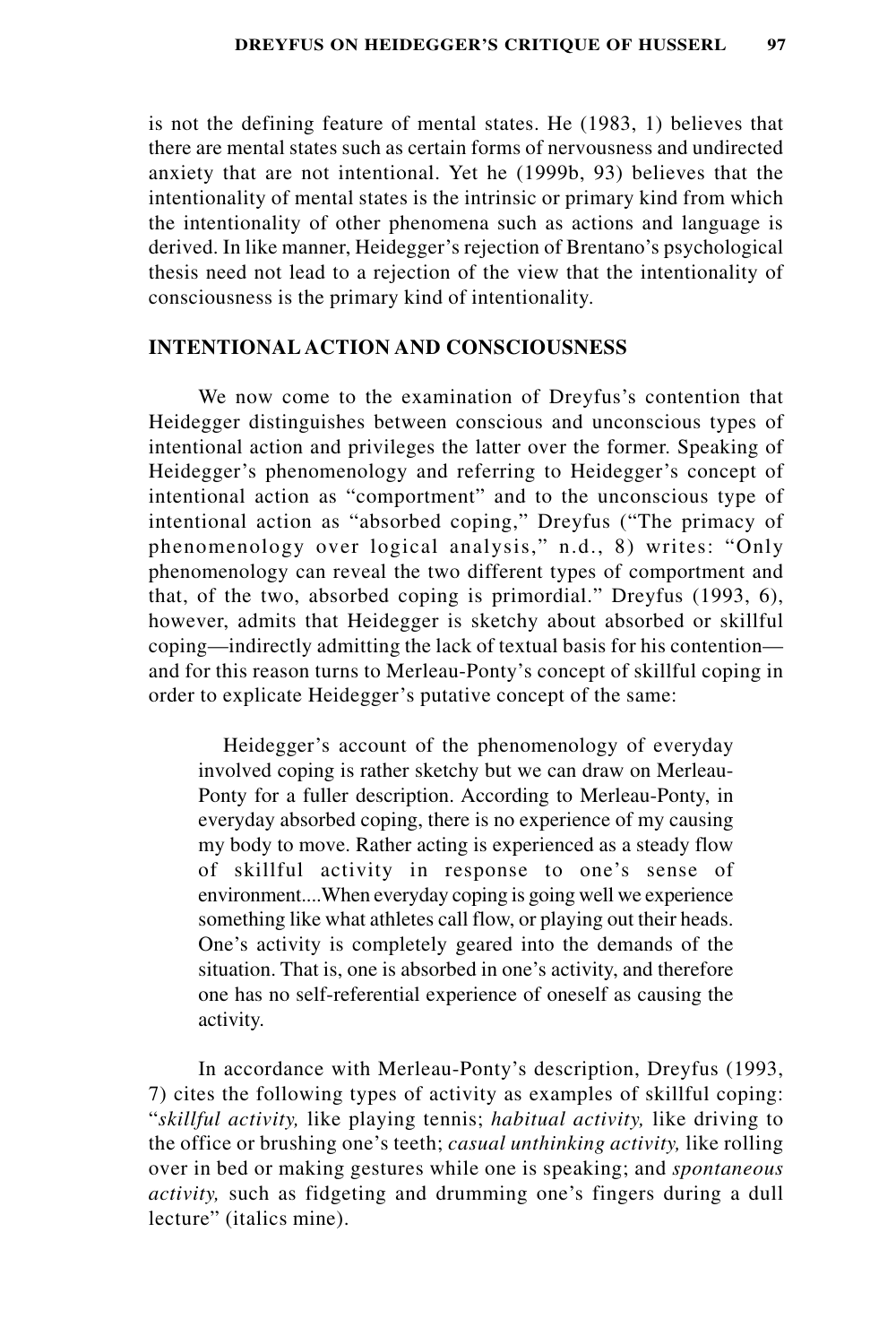is not the defining feature of mental states. He (1983, 1) believes that there are mental states such as certain forms of nervousness and undirected anxiety that are not intentional. Yet he (1999b, 93) believes that the intentionality of mental states is the intrinsic or primary kind from which the intentionality of other phenomena such as actions and language is derived. In like manner, Heidegger's rejection of Brentano's psychological thesis need not lead to a rejection of the view that the intentionality of consciousness is the primary kind of intentionality.

## **INTENTIONAL ACTION AND CONSCIOUSNESS**

We now come to the examination of Dreyfus's contention that Heidegger distinguishes between conscious and unconscious types of intentional action and privileges the latter over the former. Speaking of Heidegger's phenomenology and referring to Heidegger's concept of intentional action as "comportment" and to the unconscious type of intentional action as "absorbed coping," Dreyfus ("The primacy of phenomenology over logical analysis," n.d., 8) writes: "Only phenomenology can reveal the two different types of comportment and that, of the two, absorbed coping is primordial." Dreyfus (1993, 6), however, admits that Heidegger is sketchy about absorbed or skillful coping—indirectly admitting the lack of textual basis for his contention and for this reason turns to Merleau-Ponty's concept of skillful coping in order to explicate Heidegger's putative concept of the same:

Heidegger's account of the phenomenology of everyday involved coping is rather sketchy but we can draw on Merleau-Ponty for a fuller description. According to Merleau-Ponty, in everyday absorbed coping, there is no experience of my causing my body to move. Rather acting is experienced as a steady flow of skillful activity in response to one's sense of environment....When everyday coping is going well we experience something like what athletes call flow, or playing out their heads. One's activity is completely geared into the demands of the situation. That is, one is absorbed in one's activity, and therefore one has no self-referential experience of oneself as causing the activity.

In accordance with Merleau-Ponty's description, Dreyfus (1993, 7) cites the following types of activity as examples of skillful coping: "*skillful activity,* like playing tennis; *habitual activity,* like driving to the office or brushing one's teeth; *casual unthinking activity,* like rolling over in bed or making gestures while one is speaking; and *spontaneous activity,* such as fidgeting and drumming one's fingers during a dull lecture" (italics mine).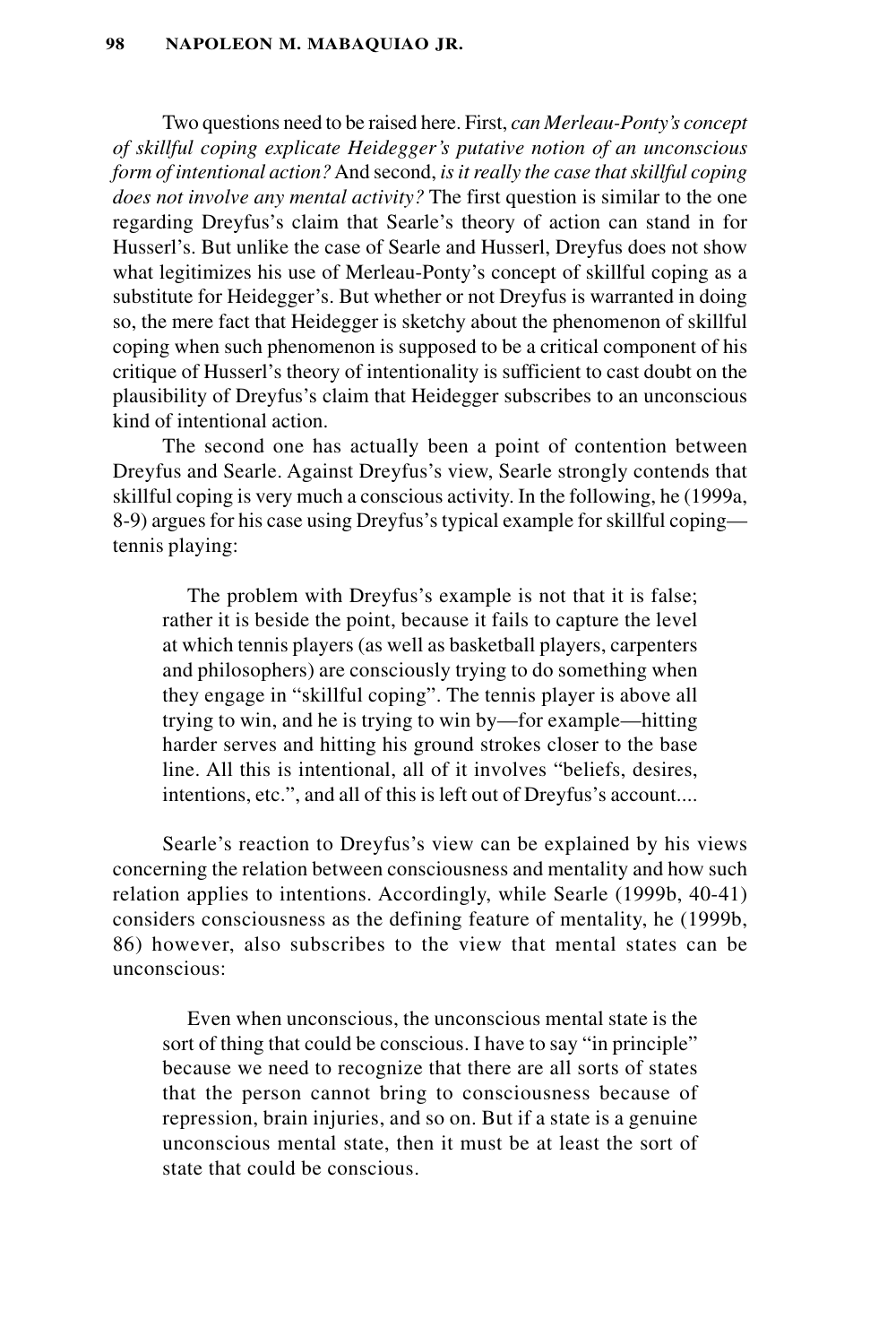Two questions need to be raised here. First, *can Merleau-Ponty's concept of skillful coping explicate Heidegger's putative notion of an unconscious form of intentional action?* And second, *is it really the case that skillful coping does not involve any mental activity?* The first question is similar to the one regarding Dreyfus's claim that Searle's theory of action can stand in for Husserl's. But unlike the case of Searle and Husserl, Dreyfus does not show what legitimizes his use of Merleau-Ponty's concept of skillful coping as a substitute for Heidegger's. But whether or not Dreyfus is warranted in doing so, the mere fact that Heidegger is sketchy about the phenomenon of skillful coping when such phenomenon is supposed to be a critical component of his critique of Husserl's theory of intentionality is sufficient to cast doubt on the plausibility of Dreyfus's claim that Heidegger subscribes to an unconscious kind of intentional action.

The second one has actually been a point of contention between Dreyfus and Searle. Against Dreyfus's view, Searle strongly contends that skillful coping is very much a conscious activity. In the following, he (1999a, 8-9) argues for his case using Dreyfus's typical example for skillful coping tennis playing:

The problem with Dreyfus's example is not that it is false; rather it is beside the point, because it fails to capture the level at which tennis players (as well as basketball players, carpenters and philosophers) are consciously trying to do something when they engage in "skillful coping". The tennis player is above all trying to win, and he is trying to win by—for example—hitting harder serves and hitting his ground strokes closer to the base line. All this is intentional, all of it involves "beliefs, desires, intentions, etc.", and all of this is left out of Dreyfus's account....

Searle's reaction to Dreyfus's view can be explained by his views concerning the relation between consciousness and mentality and how such relation applies to intentions. Accordingly, while Searle (1999b, 40-41) considers consciousness as the defining feature of mentality, he (1999b, 86) however, also subscribes to the view that mental states can be unconscious:

Even when unconscious, the unconscious mental state is the sort of thing that could be conscious. I have to say "in principle" because we need to recognize that there are all sorts of states that the person cannot bring to consciousness because of repression, brain injuries, and so on. But if a state is a genuine unconscious mental state, then it must be at least the sort of state that could be conscious.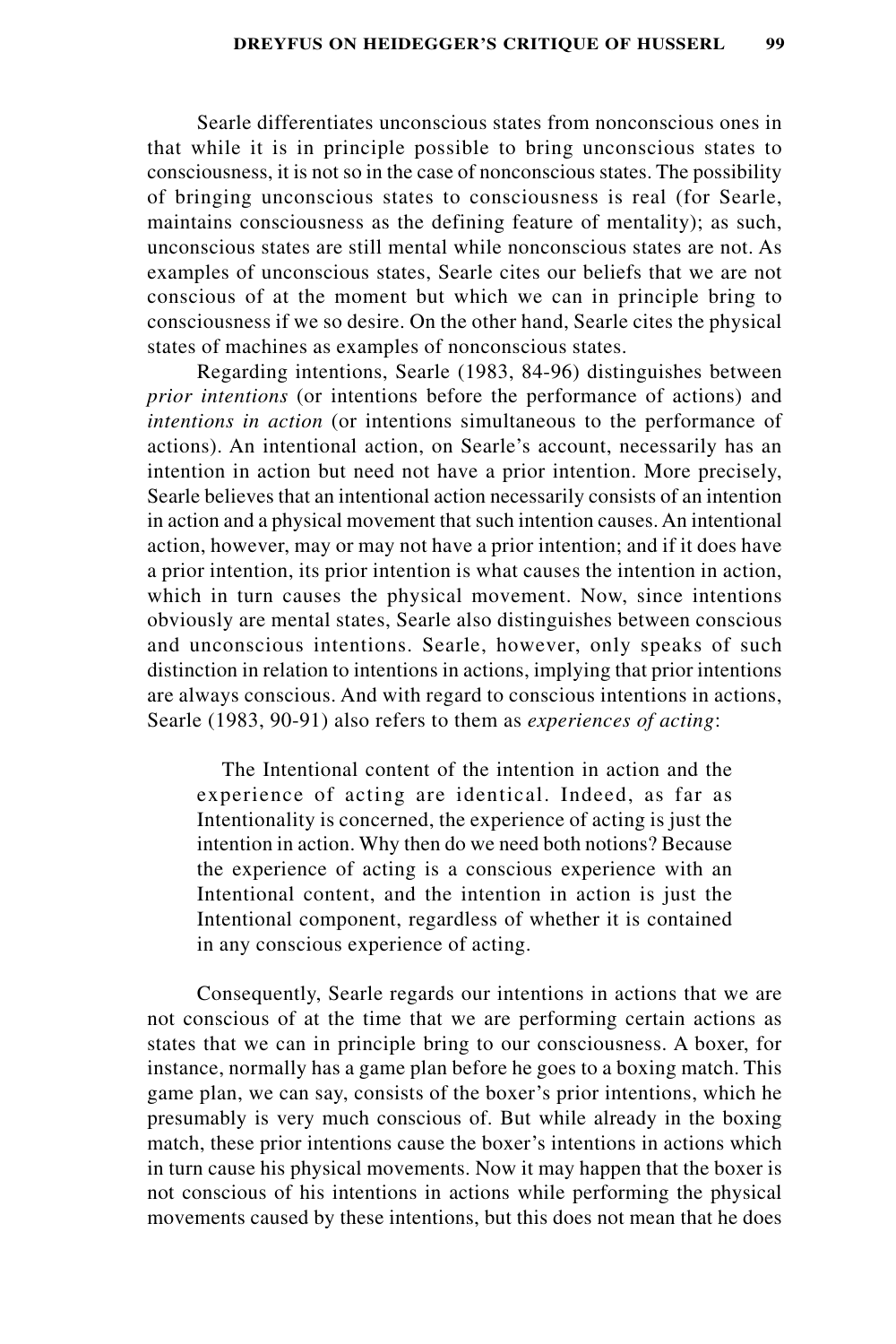Searle differentiates unconscious states from nonconscious ones in that while it is in principle possible to bring unconscious states to consciousness, it is not so in the case of nonconscious states. The possibility of bringing unconscious states to consciousness is real (for Searle, maintains consciousness as the defining feature of mentality); as such, unconscious states are still mental while nonconscious states are not. As examples of unconscious states, Searle cites our beliefs that we are not conscious of at the moment but which we can in principle bring to consciousness if we so desire. On the other hand, Searle cites the physical states of machines as examples of nonconscious states.

Regarding intentions, Searle (1983, 84-96) distinguishes between *prior intentions* (or intentions before the performance of actions) and *intentions in action* (or intentions simultaneous to the performance of actions). An intentional action, on Searle's account, necessarily has an intention in action but need not have a prior intention. More precisely, Searle believes that an intentional action necessarily consists of an intention in action and a physical movement that such intention causes. An intentional action, however, may or may not have a prior intention; and if it does have a prior intention, its prior intention is what causes the intention in action, which in turn causes the physical movement. Now, since intentions obviously are mental states, Searle also distinguishes between conscious and unconscious intentions. Searle, however, only speaks of such distinction in relation to intentions in actions, implying that prior intentions are always conscious. And with regard to conscious intentions in actions, Searle (1983, 90-91) also refers to them as *experiences of acting*:

The Intentional content of the intention in action and the experience of acting are identical. Indeed, as far as Intentionality is concerned, the experience of acting is just the intention in action. Why then do we need both notions? Because the experience of acting is a conscious experience with an Intentional content, and the intention in action is just the Intentional component, regardless of whether it is contained in any conscious experience of acting.

Consequently, Searle regards our intentions in actions that we are not conscious of at the time that we are performing certain actions as states that we can in principle bring to our consciousness. A boxer, for instance, normally has a game plan before he goes to a boxing match. This game plan, we can say, consists of the boxer's prior intentions, which he presumably is very much conscious of. But while already in the boxing match, these prior intentions cause the boxer's intentions in actions which in turn cause his physical movements. Now it may happen that the boxer is not conscious of his intentions in actions while performing the physical movements caused by these intentions, but this does not mean that he does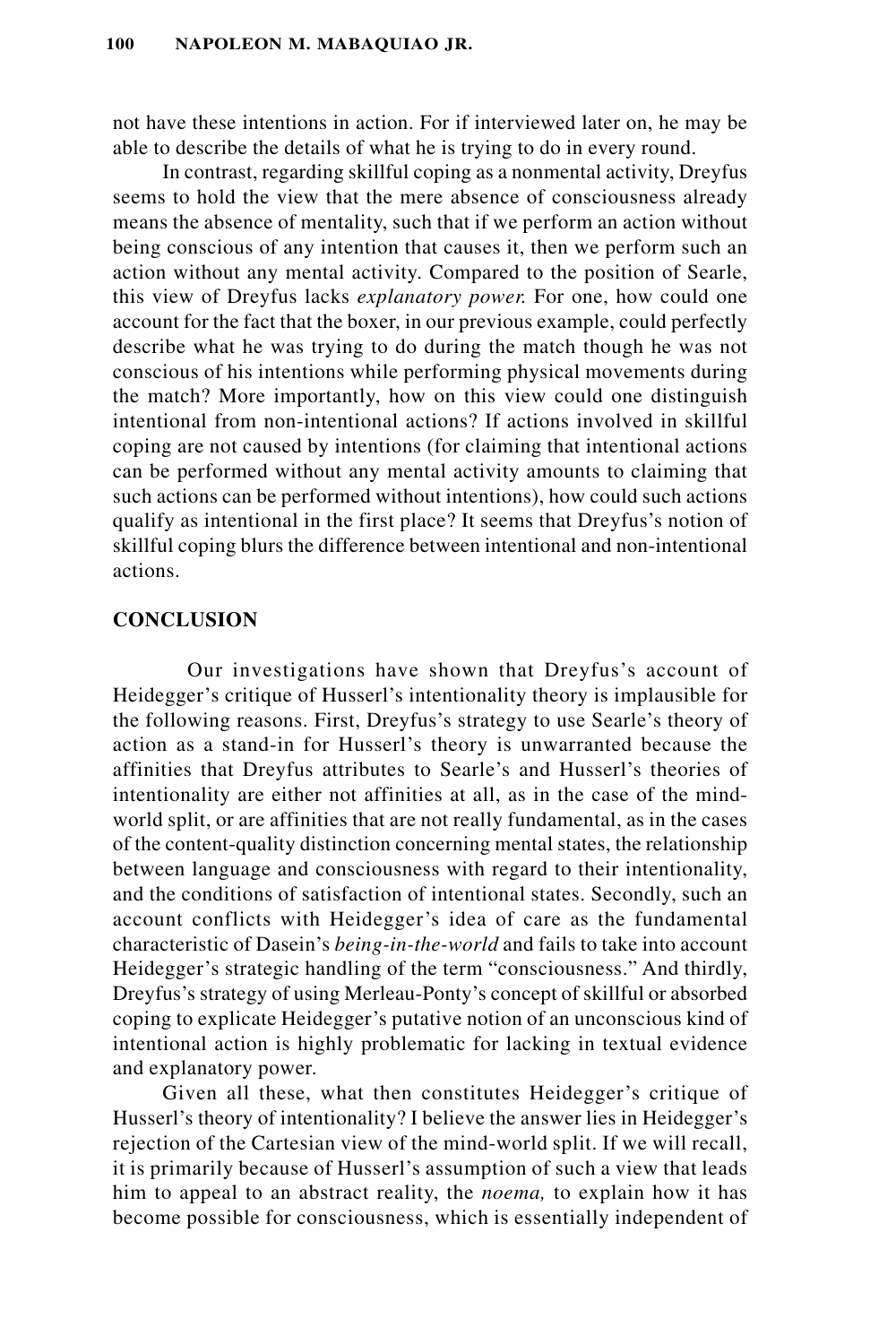not have these intentions in action. For if interviewed later on, he may be able to describe the details of what he is trying to do in every round.

In contrast, regarding skillful coping as a nonmental activity, Dreyfus seems to hold the view that the mere absence of consciousness already means the absence of mentality, such that if we perform an action without being conscious of any intention that causes it, then we perform such an action without any mental activity. Compared to the position of Searle, this view of Dreyfus lacks *explanatory power.* For one, how could one account for the fact that the boxer, in our previous example, could perfectly describe what he was trying to do during the match though he was not conscious of his intentions while performing physical movements during the match? More importantly, how on this view could one distinguish intentional from non-intentional actions? If actions involved in skillful coping are not caused by intentions (for claiming that intentional actions can be performed without any mental activity amounts to claiming that such actions can be performed without intentions), how could such actions qualify as intentional in the first place? It seems that Dreyfus's notion of skillful coping blurs the difference between intentional and non-intentional actions.

## **CONCLUSION**

Our investigations have shown that Dreyfus's account of Heidegger's critique of Husserl's intentionality theory is implausible for the following reasons. First, Dreyfus's strategy to use Searle's theory of action as a stand-in for Husserl's theory is unwarranted because the affinities that Dreyfus attributes to Searle's and Husserl's theories of intentionality are either not affinities at all, as in the case of the mindworld split, or are affinities that are not really fundamental, as in the cases of the content-quality distinction concerning mental states, the relationship between language and consciousness with regard to their intentionality, and the conditions of satisfaction of intentional states. Secondly, such an account conflicts with Heidegger's idea of care as the fundamental characteristic of Dasein's *being-in-the-world* and fails to take into account Heidegger's strategic handling of the term "consciousness." And thirdly, Dreyfus's strategy of using Merleau-Ponty's concept of skillful or absorbed coping to explicate Heidegger's putative notion of an unconscious kind of intentional action is highly problematic for lacking in textual evidence and explanatory power.

Given all these, what then constitutes Heidegger's critique of Husserl's theory of intentionality? I believe the answer lies in Heidegger's rejection of the Cartesian view of the mind-world split. If we will recall, it is primarily because of Husserl's assumption of such a view that leads him to appeal to an abstract reality, the *noema,* to explain how it has become possible for consciousness, which is essentially independent of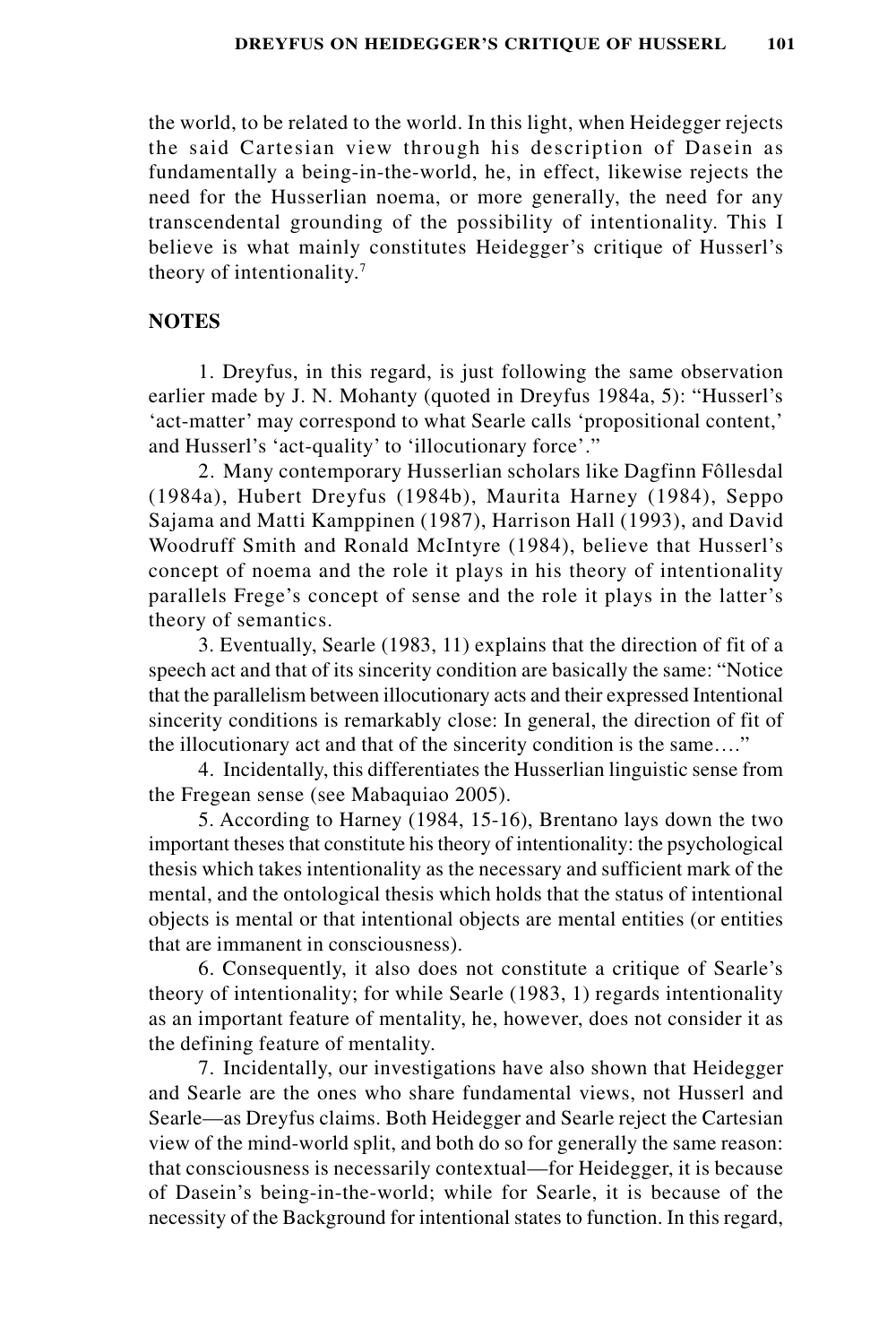the world, to be related to the world. In this light, when Heidegger rejects the said Cartesian view through his description of Dasein as fundamentally a being-in-the-world, he, in effect, likewise rejects the need for the Husserlian noema, or more generally, the need for any transcendental grounding of the possibility of intentionality. This I believe is what mainly constitutes Heidegger's critique of Husserl's theory of intentionality.7

#### **NOTES**

1. Dreyfus, in this regard, is just following the same observation earlier made by J. N. Mohanty (quoted in Dreyfus 1984a, 5): "Husserl's 'act-matter' may correspond to what Searle calls 'propositional content,' and Husserl's 'act-quality' to 'illocutionary force'."

2. Many contemporary Husserlian scholars like Dagfinn Fôllesdal (1984a), Hubert Dreyfus (1984b), Maurita Harney (1984), Seppo Sajama and Matti Kamppinen (1987), Harrison Hall (1993), and David Woodruff Smith and Ronald McIntyre (1984), believe that Husserl's concept of noema and the role it plays in his theory of intentionality parallels Frege's concept of sense and the role it plays in the latter's theory of semantics.

3. Eventually, Searle (1983, 11) explains that the direction of fit of a speech act and that of its sincerity condition are basically the same: "Notice that the parallelism between illocutionary acts and their expressed Intentional sincerity conditions is remarkably close: In general, the direction of fit of the illocutionary act and that of the sincerity condition is the same…."

4. Incidentally, this differentiates the Husserlian linguistic sense from the Fregean sense (see Mabaquiao 2005).

5. According to Harney (1984, 15-16), Brentano lays down the two important theses that constitute his theory of intentionality: the psychological thesis which takes intentionality as the necessary and sufficient mark of the mental, and the ontological thesis which holds that the status of intentional objects is mental or that intentional objects are mental entities (or entities that are immanent in consciousness).

6. Consequently, it also does not constitute a critique of Searle's theory of intentionality; for while Searle (1983, 1) regards intentionality as an important feature of mentality, he, however, does not consider it as the defining feature of mentality.

7. Incidentally, our investigations have also shown that Heidegger and Searle are the ones who share fundamental views, not Husserl and Searle—as Dreyfus claims. Both Heidegger and Searle reject the Cartesian view of the mind-world split, and both do so for generally the same reason: that consciousness is necessarily contextual—for Heidegger, it is because of Dasein's being-in-the-world; while for Searle, it is because of the necessity of the Background for intentional states to function. In this regard,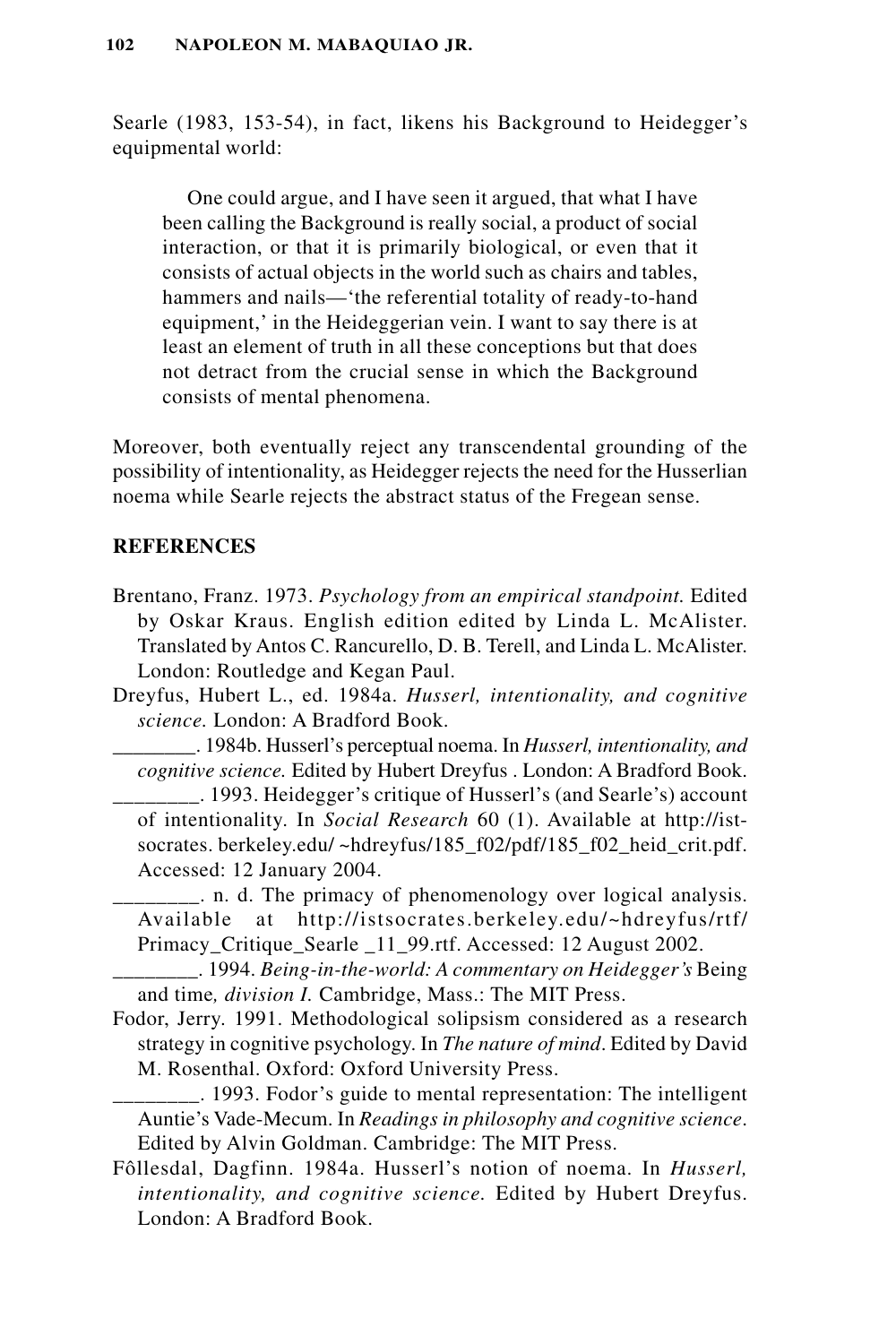Searle (1983, 153-54), in fact, likens his Background to Heidegger's equipmental world:

One could argue, and I have seen it argued, that what I have been calling the Background is really social, a product of social interaction, or that it is primarily biological, or even that it consists of actual objects in the world such as chairs and tables, hammers and nails—'the referential totality of ready-to-hand equipment,' in the Heideggerian vein. I want to say there is at least an element of truth in all these conceptions but that does not detract from the crucial sense in which the Background consists of mental phenomena.

Moreover, both eventually reject any transcendental grounding of the possibility of intentionality, as Heidegger rejects the need for the Husserlian noema while Searle rejects the abstract status of the Fregean sense.

# **REFERENCES**

- Brentano, Franz. 1973. *Psychology from an empirical standpoint.* Edited by Oskar Kraus. English edition edited by Linda L. McAlister. Translated by Antos C. Rancurello, D. B. Terell, and Linda L. McAlister. London: Routledge and Kegan Paul.
- Dreyfus, Hubert L., ed. 1984a. *Husserl, intentionality, and cognitive science.* London: A Bradford Book.

\_\_\_\_\_\_\_\_. 1984b. Husserl's perceptual noema. In *Husserl, intentionality, and cognitive science.* Edited by Hubert Dreyfus . London: A Bradford Book.

- \_\_\_\_\_\_\_\_. 1993. Heidegger's critique of Husserl's (and Searle's) account of intentionality. In *Social Research* 60 (1). Available at http://istsocrates. berkeley.edu/~hdreyfus/185\_f02/pdf/185\_f02\_heid\_crit.pdf. Accessed: 12 January 2004.
- \_\_\_\_\_\_\_\_. n. d. The primacy of phenomenology over logical analysis. Available at http://istsocrates.berkeley.edu/~hdreyfus/rtf/ Primacy Critique Searle 11 99.rtf. Accessed: 12 August 2002.

\_\_\_\_\_\_\_\_. 1994. *Being-in-the-world: A commentary on Heidegger's* Being and time*, division I.* Cambridge, Mass.: The MIT Press.

- Fodor, Jerry. 1991. Methodological solipsism considered as a research strategy in cognitive psychology. In *The nature of mind*. Edited by David M. Rosenthal. Oxford: Oxford University Press.
	- \_\_\_\_\_\_\_\_. 1993. Fodor's guide to mental representation: The intelligent Auntie's Vade-Mecum. In *Readings in philosophy and cognitive science*. Edited by Alvin Goldman. Cambridge: The MIT Press.
- Fôllesdal, Dagfinn. 1984a. Husserl's notion of noema. In *Husserl, intentionality, and cognitive science.* Edited by Hubert Dreyfus. London: A Bradford Book.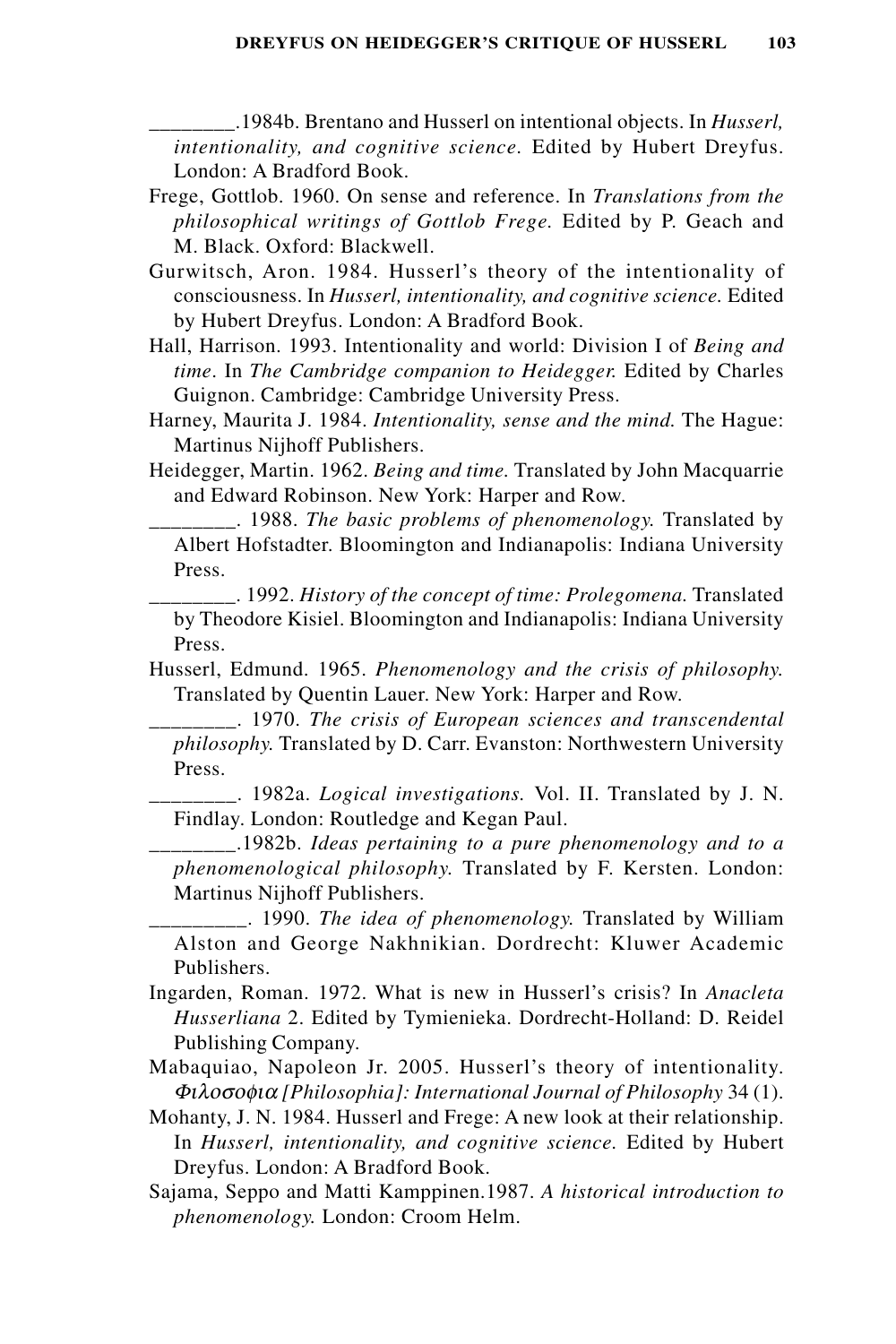\_\_\_\_\_\_\_\_.1984b. Brentano and Husserl on intentional objects. In *Husserl, intentionality, and cognitive science.* Edited by Hubert Dreyfus. London: A Bradford Book.

- Frege, Gottlob. 1960. On sense and reference. In *Translations from the philosophical writings of Gottlob Frege.* Edited by P. Geach and M. Black. Oxford: Blackwell.
- Gurwitsch, Aron. 1984. Husserl's theory of the intentionality of consciousness. In *Husserl, intentionality, and cognitive science.* Edited by Hubert Dreyfus. London: A Bradford Book.
- Hall, Harrison. 1993. Intentionality and world: Division I of *Being and time*. In *The Cambridge companion to Heidegger.* Edited by Charles Guignon. Cambridge: Cambridge University Press.
- Harney, Maurita J. 1984. *Intentionality, sense and the mind.* The Hague: Martinus Nijhoff Publishers.
- Heidegger, Martin. 1962. *Being and time.* Translated by John Macquarrie and Edward Robinson. New York: Harper and Row.

\_\_\_\_\_\_\_\_. 1988. *The basic problems of phenomenology.* Translated by Albert Hofstadter. Bloomington and Indianapolis: Indiana University Press.

\_\_\_\_\_\_\_\_. 1992. *History of the concept of time: Prolegomena.* Translated by Theodore Kisiel. Bloomington and Indianapolis: Indiana University Press.

Husserl, Edmund. 1965. *Phenomenology and the crisis of philosophy.* Translated by Quentin Lauer. New York: Harper and Row.

\_\_\_\_\_\_\_\_. 1970. *The crisis of European sciences and transcendental philosophy.* Translated by D. Carr. Evanston: Northwestern University Press.

\_\_\_\_\_\_\_\_. 1982a. *Logical investigations.* Vol. II. Translated by J. N. Findlay. London: Routledge and Kegan Paul.

\_\_\_\_\_\_\_\_.1982b. *Ideas pertaining to a pure phenomenology and to a phenomenological philosophy.* Translated by F. Kersten. London: Martinus Nijhoff Publishers.

\_\_\_\_\_\_\_\_\_. 1990. *The idea of phenomenology.* Translated by William Alston and George Nakhnikian. Dordrecht: Kluwer Academic Publishers.

- Ingarden, Roman. 1972. What is new in Husserl's crisis? In *Anacleta Husserliana* 2. Edited by Tymienieka. Dordrecht-Holland: D. Reidel Publishing Company.
- Mabaquiao, Napoleon Jr. 2005. Husserl's theory of intentionality. Φιλοσοφια *[Philosophia]: International Journal of Philosophy* 34 (1).
- Mohanty, J. N. 1984. Husserl and Frege: A new look at their relationship. In *Husserl, intentionality, and cognitive science.* Edited by Hubert Dreyfus. London: A Bradford Book.
- Sajama, Seppo and Matti Kamppinen.1987. *A historical introduction to phenomenology.* London: Croom Helm.